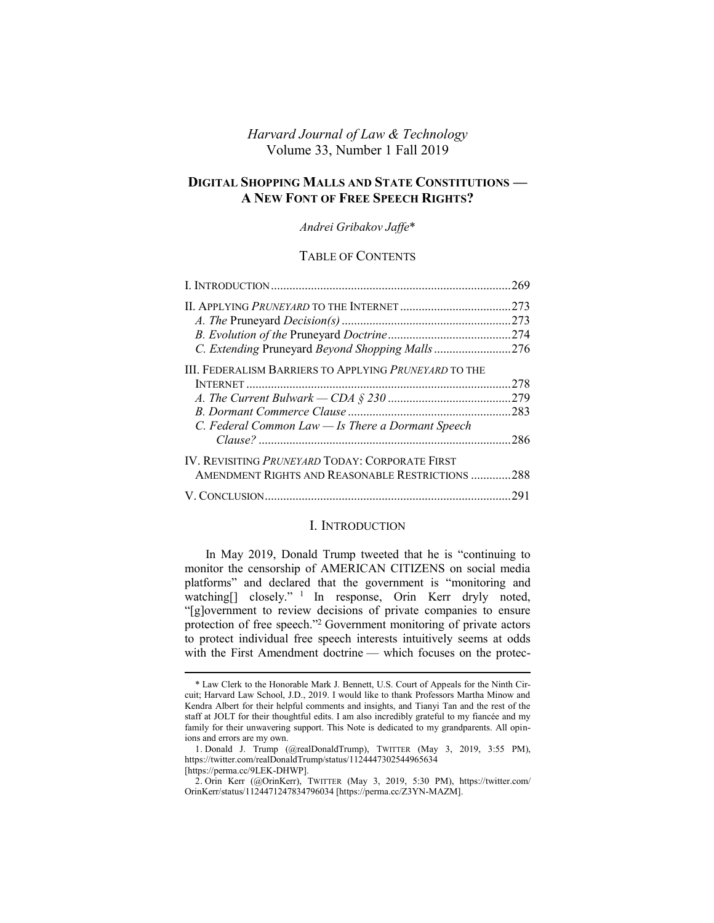# *Harvard Journal of Law & Technology* Volume 33, Number 1 Fall 2019

# **DIGITAL SHOPPING MALLS AND STATE CONSTITUTIONS — A NEW FONT OF FREE SPEECH RIGHTS?**

### *Andrei Gribakov Jaffe*\*

## TABLE OF CONTENTS

|                                                              | .269 |
|--------------------------------------------------------------|------|
|                                                              | .273 |
|                                                              |      |
|                                                              |      |
| C. Extending Pruneyard Beyond Shopping Malls276              |      |
| <b>III. FEDERALISM BARRIERS TO APPLYING PRUNEYARD TO THE</b> |      |
|                                                              | .278 |
|                                                              |      |
|                                                              | .283 |
| C. Federal Common Law — Is There a Dormant Speech            |      |
|                                                              | .286 |
| <b>IV. REVISITING PRUNEYARD TODAY: CORPORATE FIRST</b>       |      |
| AMENDMENT RIGHTS AND REASONABLE RESTRICTIONS                 | .288 |
|                                                              | 291  |

## I. INTRODUCTION

<span id="page-0-0"></span>In May 2019, Donald Trump tweeted that he is "continuing to monitor the censorship of AMERICAN CITIZENS on social media platforms" and declared that the government is "monitoring and watching<sup>[]</sup> closely." In response, Orin Kerr dryly noted, "[g]overnment to review decisions of private companies to ensure protection of free speech."<sup>2</sup> Government monitoring of private actors to protect individual free speech interests intuitively seems at odds with the First Amendment doctrine — which focuses on the protec-

<sup>\*</sup> Law Clerk to the Honorable Mark J. Bennett, U.S. Court of Appeals for the Ninth Circuit; Harvard Law School, J.D., 2019. I would like to thank Professors Martha Minow and Kendra Albert for their helpful comments and insights, and Tianyi Tan and the rest of the staff at JOLT for their thoughtful edits. I am also incredibly grateful to my fiancée and my family for their unwavering support. This Note is dedicated to my grandparents. All opinions and errors are my own.

<sup>1.</sup> Donald J. Trump (@realDonaldTrump), TWITTER (May 3, 2019, 3:55 PM), https://twitter.com/realDonaldTrump/status/1124447302544965634

<sup>[</sup>https://perma.cc/9LEK-DHWP].

<sup>2.</sup> Orin Kerr (@OrinKerr), TWITTER (May 3, 2019, 5:30 PM), https://twitter.com/ OrinKerr/status/1124471247834796034 [https://perma.cc/Z3YN-MAZM].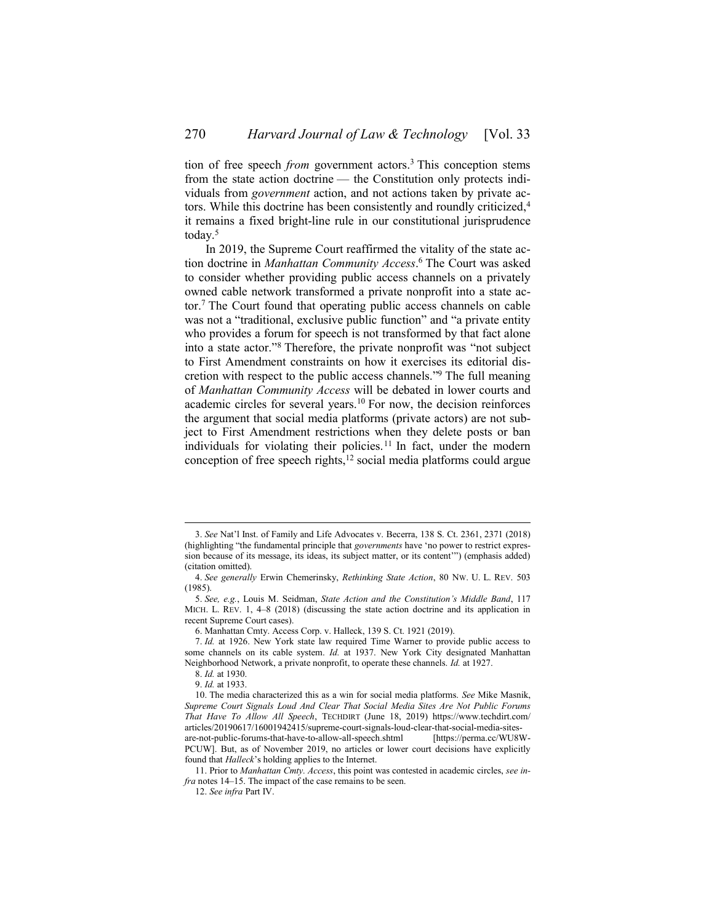tion of free speech *from* government actors.<sup>3</sup> This conception stems from the state action doctrine — the Constitution only protects individuals from *government* action, and not actions taken by private actors. While this doctrine has been consistently and roundly criticized, 4 it remains a fixed bright-line rule in our constitutional jurisprudence today. 5

In 2019, the Supreme Court reaffirmed the vitality of the state action doctrine in *Manhattan Community Access*. <sup>6</sup> The Court was asked to consider whether providing public access channels on a privately owned cable network transformed a private nonprofit into a state actor.<sup>7</sup> The Court found that operating public access channels on cable was not a "traditional, exclusive public function" and "a private entity who provides a forum for speech is not transformed by that fact alone into a state actor." <sup>8</sup> Therefore, the private nonprofit was "not subject to First Amendment constraints on how it exercises its editorial discretion with respect to the public access channels." <sup>9</sup> The full meaning of *Manhattan Community Access* will be debated in lower courts and academic circles for several years.<sup>10</sup> For now, the decision reinforces the argument that social media platforms (private actors) are not subject to First Amendment restrictions when they delete posts or ban individuals for violating their policies.<sup>11</sup> In fact, under the modern conception of free speech rights, <sup>12</sup> social media platforms could argue

<sup>3.</sup> *See* Nat'l Inst. of Family and Life Advocates v. Becerra, 138 S. Ct. 2361, 2371 (2018) (highlighting "the fundamental principle that *governments* have 'no power to restrict expression because of its message, its ideas, its subject matter, or its content'") (emphasis added) (citation omitted).

<sup>4.</sup> *See generally* Erwin Chemerinsky, *Rethinking State Action*, 80 NW. U. L. REV. 503 (1985).

<sup>5.</sup> *See, e.g.*, Louis M. Seidman, *State Action and the Constitution's Middle Band*, 117 MICH. L. REV. 1, 4–8 (2018) (discussing the state action doctrine and its application in recent Supreme Court cases).

<sup>6.</sup> Manhattan Cmty. Access Corp. v. Halleck, 139 S. Ct. 1921 (2019).

<sup>7.</sup> *Id.* at 1926. New York state law required Time Warner to provide public access to some channels on its cable system. *Id.* at 1937. New York City designated Manhattan Neighborhood Network, a private nonprofit, to operate these channels. *Id.* at 1927.

<sup>8.</sup> *Id.* at 1930.

<sup>9.</sup> *Id.* at 1933.

<sup>10.</sup> The media characterized this as a win for social media platforms. *See* Mike Masnik, *Supreme Court Signals Loud And Clear That Social Media Sites Are Not Public Forums That Have To Allow All Speech*, TECHDIRT (June 18, 2019) https://www.techdirt.com/ articles/20190617/16001942415/supreme-court-signals-loud-clear-that-social-media-sitesare-not-public-forums-that-have-to-allow-all-speech.shtml [https://perma.cc/WU8W-PCUW]. But, as of November 2019, no articles or lower court decisions have explicitly found that *Halleck*'s holding applies to the Internet.

<sup>11.</sup> Prior to *Manhattan Cmty. Access*, this point was contested in academic circles, *see infra* note[s 14](#page-2-0)–[15.](#page-2-1) The impact of the case remains to be seen.

<sup>12.</sup> *See infra* Part [IV.](#page-19-0)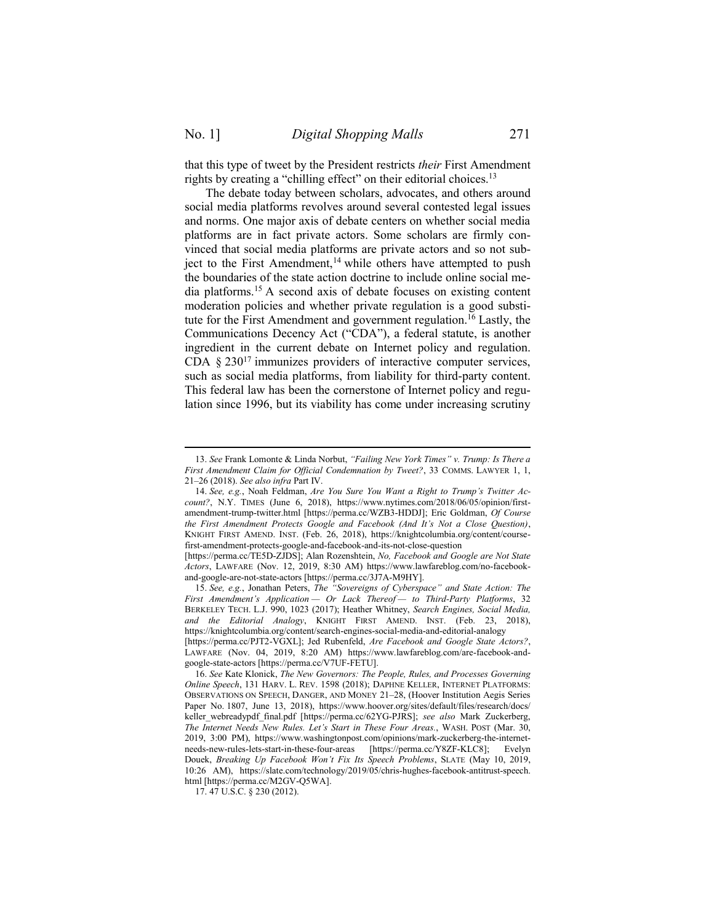that this type of tweet by the President restricts *their* First Amendment rights by creating a "chilling effect" on their editorial choices.<sup>13</sup>

<span id="page-2-2"></span><span id="page-2-1"></span><span id="page-2-0"></span>The debate today between scholars, advocates, and others around social media platforms revolves around several contested legal issues and norms. One major axis of debate centers on whether social media platforms are in fact private actors. Some scholars are firmly convinced that social media platforms are private actors and so not subject to the First Amendment,<sup>14</sup> while others have attempted to push the boundaries of the state action doctrine to include online social media platforms. <sup>15</sup> A second axis of debate focuses on existing content moderation policies and whether private regulation is a good substitute for the First Amendment and government regulation.<sup>16</sup> Lastly, the Communications Decency Act ("CDA"), a federal statute, is another ingredient in the current debate on Internet policy and regulation. CDA  $\S 230^{17}$  immunizes providers of interactive computer services, such as social media platforms, from liability for third-party content. This federal law has been the cornerstone of Internet policy and regulation since 1996, but its viability has come under increasing scrutiny

<sup>13.</sup> *See* Frank Lomonte & Linda Norbut, *"Failing New York Times" v. Trump: Is There a First Amendment Claim for Official Condemnation by Tweet?*, 33 COMMS. LAWYER 1, 1, 21–26 (2018). *See also infra* Part [IV.](#page-19-0)

<sup>14.</sup> *See, e.g.*, Noah Feldman, *Are You Sure You Want a Right to Trump's Twitter Account?*, N.Y. TIMES (June 6, 2018), https://www.nytimes.com/2018/06/05/opinion/firstamendment-trump-twitter.html [https://perma.cc/WZB3-HDDJ]; Eric Goldman, *Of Course the First Amendment Protects Google and Facebook (And It's Not a Close Question)*, KNIGHT FIRST AMEND. INST. (Feb. 26, 2018), https://knightcolumbia.org/content/coursefirst-amendment-protects-google-and-facebook-and-its-not-close-question

<sup>[</sup>https://perma.cc/TE5D-ZJDS]; Alan Rozenshtein, *No, Facebook and Google are Not State Actors*, LAWFARE (Nov. 12, 2019, 8:30 AM) https://www.lawfareblog.com/no-facebookand-google-are-not-state-actors [https://perma.cc/3J7A-M9HY].

<sup>15.</sup> *See, e.g.*, Jonathan Peters, *The "Sovereigns of Cyberspace" and State Action: The First Amendment's Application — Or Lack Thereof — to Third-Party Platforms*, 32 BERKELEY TECH. L.J. 990, 1023 (2017); Heather Whitney, *Search Engines, Social Media, and the Editorial Analogy*, KNIGHT FIRST AMEND. INST. (Feb. 23, 2018), https://knightcolumbia.org/content/search-engines-social-media-and-editorial-analogy

<sup>[</sup>https://perma.cc/PJT2-VGXL]; Jed Rubenfeld, *Are Facebook and Google State Actors?*, LAWFARE (Nov. 04, 2019, 8:20 AM) https://www.lawfareblog.com/are-facebook-andgoogle-state-actors [https://perma.cc/V7UF-FETU].

<sup>16.</sup> *See* Kate Klonick, *The New Governors: The People, Rules, and Processes Governing Online Speech*, 131 HARV. L. REV. 1598 (2018); DAPHNE KELLER, INTERNET PLATFORMS: OBSERVATIONS ON SPEECH, DANGER, AND MONEY 21–28, (Hoover Institution Aegis Series Paper No. 1807, June 13, 2018), https://www.hoover.org/sites/default/files/research/docs/ keller\_webreadypdf\_final.pdf [https://perma.cc/62YG-PJRS]; *see also* Mark Zuckerberg, *The Internet Needs New Rules. Let's Start in These Four Areas.*, WASH. POST (Mar. 30, 2019, 3:00 PM), https://www.washingtonpost.com/opinions/mark-zuckerberg-the-internetneeds-new-rules-lets-start-in-these-four-areas [https://perma.cc/Y8ZF-KLC8]; Evelyn Douek, *Breaking Up Facebook Won't Fix Its Speech Problems*, SLATE (May 10, 2019, 10:26 AM), https://slate.com/technology/2019/05/chris-hughes-facebook-antitrust-speech. html [https://perma.cc/M2GV-Q5WA].

<sup>17.</sup> 47 U.S.C. § 230 (2012).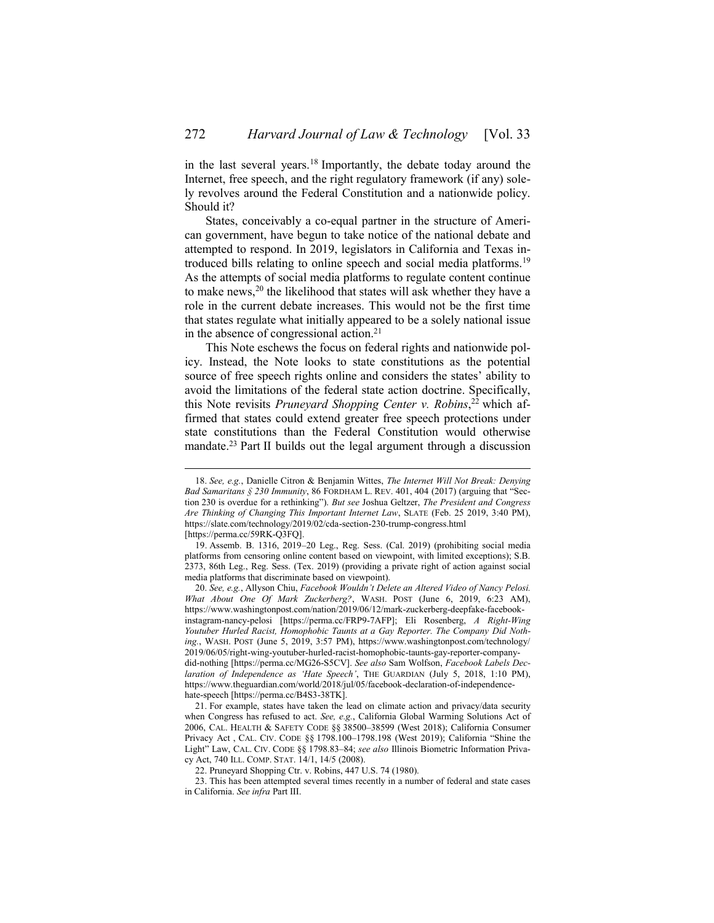<span id="page-3-0"></span>in the last several years.<sup>18</sup> Importantly, the debate today around the Internet, free speech, and the right regulatory framework (if any) solely revolves around the Federal Constitution and a nationwide policy. Should it?

States, conceivably a co-equal partner in the structure of American government, have begun to take notice of the national debate and attempted to respond. In 2019, legislators in California and Texas introduced bills relating to online speech and social media platforms.<sup>19</sup> As the attempts of social media platforms to regulate content continue to make news, <sup>20</sup> the likelihood that states will ask whether they have a role in the current debate increases. This would not be the first time that states regulate what initially appeared to be a solely national issue in the absence of congressional action.<sup>21</sup>

This Note eschews the focus on federal rights and nationwide policy. Instead, the Note looks to state constitutions as the potential source of free speech rights online and considers the states' ability to avoid the limitations of the federal state action doctrine. Specifically, this Note revisits *Pruneyard Shopping Center v. Robins*, <sup>22</sup> which affirmed that states could extend greater free speech protections under state constitutions than the Federal Constitution would otherwise mandate.<sup>23</sup> Part II builds out the legal argument through a discussion

<sup>18.</sup> *See, e.g.*, Danielle Citron & Benjamin Wittes, *The Internet Will Not Break: Denying Bad Samaritans § 230 Immunity*, 86 FORDHAM L. REV. 401, 404 (2017) (arguing that "Section 230 is overdue for a rethinking"). *But see* Joshua Geltzer, *The President and Congress Are Thinking of Changing This Important Internet Law*, SLATE (Feb. 25 2019, 3:40 PM), https://slate.com/technology/2019/02/cda-section-230-trump-congress.html [https://perma.cc/59RK-Q3FQ].

<sup>19.</sup> Assemb. B. 1316, 2019–20 Leg., Reg. Sess. (Cal. 2019) (prohibiting social media platforms from censoring online content based on viewpoint, with limited exceptions); S.B. 2373, 86th Leg., Reg. Sess. (Tex. 2019) (providing a private right of action against social media platforms that discriminate based on viewpoint).

<sup>20.</sup> *See, e.g.*, Allyson Chiu, *Facebook Wouldn't Delete an Altered Video of Nancy Pelosi. What About One Of Mark Zuckerberg?*, WASH. POST (June 6, 2019, 6:23 AM), https://www.washingtonpost.com/nation/2019/06/12/mark-zuckerberg-deepfake-facebookinstagram-nancy-pelosi [https://perma.cc/FRP9-7AFP]; Eli Rosenberg, *A Right-Wing Youtuber Hurled Racist, Homophobic Taunts at a Gay Reporter. The Company Did Nothing.*, WASH. POST (June 5, 2019, 3:57 PM), https://www.washingtonpost.com/technology/ 2019/06/05/right-wing-youtuber-hurled-racist-homophobic-taunts-gay-reporter-companydid-nothing [https://perma.cc/MG26-S5CV]. *See also* Sam Wolfson, *Facebook Labels Declaration of Independence as 'Hate Speech'*, THE GUARDIAN (July 5, 2018, 1:10 PM), https://www.theguardian.com/world/2018/jul/05/facebook-declaration-of-independencehate-speech [https://perma.cc/B4S3-38TK].

<sup>21.</sup> For example, states have taken the lead on climate action and privacy/data security when Congress has refused to act. *See, e.g.*, California Global Warming Solutions Act of 2006, CAL. HEALTH & SAFETY CODE §§ 38500–38599 (West 2018); California Consumer Privacy Act , CAL. CIV. CODE §§ 1798.100–1798.198 (West 2019); California "Shine the Light" Law, CAL. CIV. CODE §§ 1798.83–84; *see also* Illinois Biometric Information Privacy Act, 740 ILL. COMP. STAT. 14/1, 14/5 (2008).

<sup>22.</sup> Pruneyard Shopping Ctr. v. Robins, 447 U.S. 74 (1980).

<sup>23.</sup> This has been attempted several times recently in a number of federal and state cases in California. *See infra* Part [III.](#page-9-0)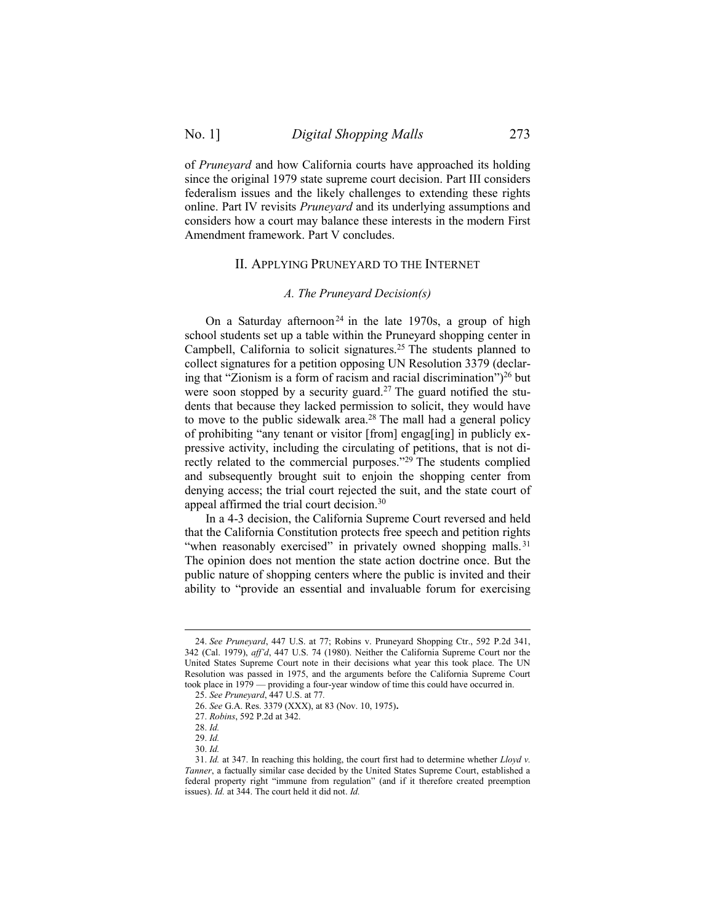of *Pruneyard* and how California courts have approached its holding since the original 1979 state supreme court decision. Part III considers federalism issues and the likely challenges to extending these rights online. Part IV revisits *Pruneyard* and its underlying assumptions and considers how a court may balance these interests in the modern First Amendment framework. Part V concludes.

#### <span id="page-4-0"></span>II. APPLYING PRUNEYARD TO THE INTERNET

#### *A. The Pruneyard Decision(s)*

<span id="page-4-1"></span>On a Saturday afternoon<sup>24</sup> in the late 1970s, a group of high school students set up a table within the Pruneyard shopping center in Campbell, California to solicit signatures.<sup>25</sup> The students planned to collect signatures for a petition opposing UN Resolution 3379 (declaring that "Zionism is a form of racism and racial discrimination") <sup>26</sup> but were soon stopped by a security guard.<sup>27</sup> The guard notified the students that because they lacked permission to solicit, they would have to move to the public sidewalk area.<sup>28</sup> The mall had a general policy of prohibiting "any tenant or visitor [from] engag[ing] in publicly expressive activity, including the circulating of petitions, that is not directly related to the commercial purposes."<sup>29</sup> The students complied and subsequently brought suit to enjoin the shopping center from denying access; the trial court rejected the suit, and the state court of appeal affirmed the trial court decision.<sup>30</sup>

In a 4-3 decision, the California Supreme Court reversed and held that the California Constitution protects free speech and petition rights "when reasonably exercised" in privately owned shopping malls.<sup>31</sup> The opinion does not mention the state action doctrine once. But the public nature of shopping centers where the public is invited and their ability to "provide an essential and invaluable forum for exercising

<sup>24.</sup> *See Pruneyard*, 447 U.S. at 77; Robins v. Pruneyard Shopping Ctr., 592 P.2d 341, 342 (Cal. 1979), *aff'd*, 447 U.S. 74 (1980). Neither the California Supreme Court nor the United States Supreme Court note in their decisions what year this took place. The UN Resolution was passed in 1975, and the arguments before the California Supreme Court took place in 1979 — providing a four-year window of time this could have occurred in. 25. *See Pruneyard*, 447 U.S. at 77*.*

<sup>26.</sup> *See* G.A. Res. 3379 (XXX), at 83 (Nov. 10, 1975)**.**

<sup>27.</sup> *Robins*, 592 P.2d at 342.

<sup>28.</sup> *Id.*

<sup>29.</sup> *Id.*

<sup>30.</sup> *Id.*

<sup>31.</sup> *Id.* at 347. In reaching this holding, the court first had to determine whether *Lloyd v. Tanner*, a factually similar case decided by the United States Supreme Court, established a federal property right "immune from regulation" (and if it therefore created preemption issues). *Id.* at 344. The court held it did not. *Id.*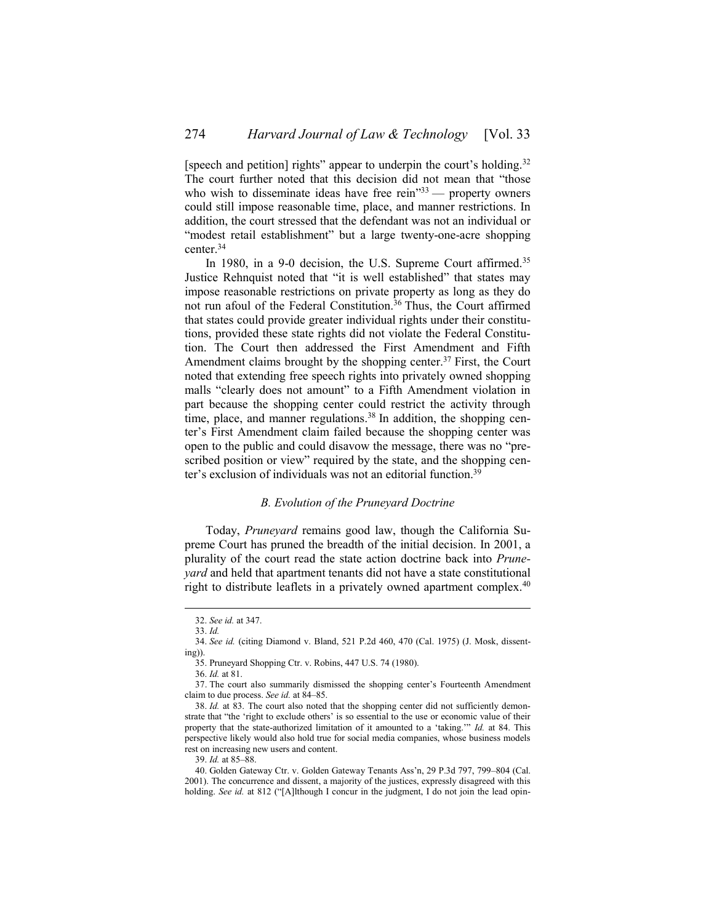[speech and petition] rights" appear to underpin the court's holding.<sup>32</sup> The court further noted that this decision did not mean that "those who wish to disseminate ideas have free rein"<sup>33</sup> — property owners could still impose reasonable time, place, and manner restrictions. In addition, the court stressed that the defendant was not an individual or "modest retail establishment" but a large twenty-one-acre shopping center.<sup>34</sup>

In 1980, in a 9-0 decision, the U.S. Supreme Court affirmed.<sup>35</sup> Justice Rehnquist noted that "it is well established" that states may impose reasonable restrictions on private property as long as they do not run afoul of the Federal Constitution.<sup>36</sup> Thus, the Court affirmed that states could provide greater individual rights under their constitutions, provided these state rights did not violate the Federal Constitution. The Court then addressed the First Amendment and Fifth Amendment claims brought by the shopping center.<sup>37</sup> First, the Court noted that extending free speech rights into privately owned shopping malls "clearly does not amount" to a Fifth Amendment violation in part because the shopping center could restrict the activity through time, place, and manner regulations. $38$  In addition, the shopping center's First Amendment claim failed because the shopping center was open to the public and could disavow the message, there was no "prescribed position or view" required by the state, and the shopping center's exclusion of individuals was not an editorial function.<sup>39</sup>

#### *B. Evolution of the Pruneyard Doctrine*

<span id="page-5-0"></span>Today, *Pruneyard* remains good law, though the California Supreme Court has pruned the breadth of the initial decision. In 2001, a plurality of the court read the state action doctrine back into *Pruneyard* and held that apartment tenants did not have a state constitutional right to distribute leaflets in a privately owned apartment complex.<sup>40</sup>

<sup>32.</sup> *See id.* at 347.

<sup>33.</sup> *Id.*

<sup>34.</sup> *See id.* (citing Diamond v. Bland, 521 P.2d 460, 470 (Cal. 1975) (J. Mosk, dissenting)).

<sup>35.</sup> Pruneyard Shopping Ctr. v. Robins, 447 U.S. 74 (1980).

<sup>36.</sup> *Id.* at 81.

<sup>37.</sup> The court also summarily dismissed the shopping center's Fourteenth Amendment claim to due process. *See id.* at 84–85.

<sup>38.</sup> *Id.* at 83. The court also noted that the shopping center did not sufficiently demonstrate that "the 'right to exclude others' is so essential to the use or economic value of their property that the state-authorized limitation of it amounted to a 'taking.'" *Id.* at 84. This perspective likely would also hold true for social media companies, whose business models rest on increasing new users and content.

<sup>39.</sup> *Id.* at 85–88.

<sup>40.</sup> Golden Gateway Ctr. v. Golden Gateway Tenants Ass'n, 29 P.3d 797, 799–804 (Cal. 2001). The concurrence and dissent, a majority of the justices, expressly disagreed with this holding. *See id.* at 812 ("[A]lthough I concur in the judgment, I do not join the lead opin-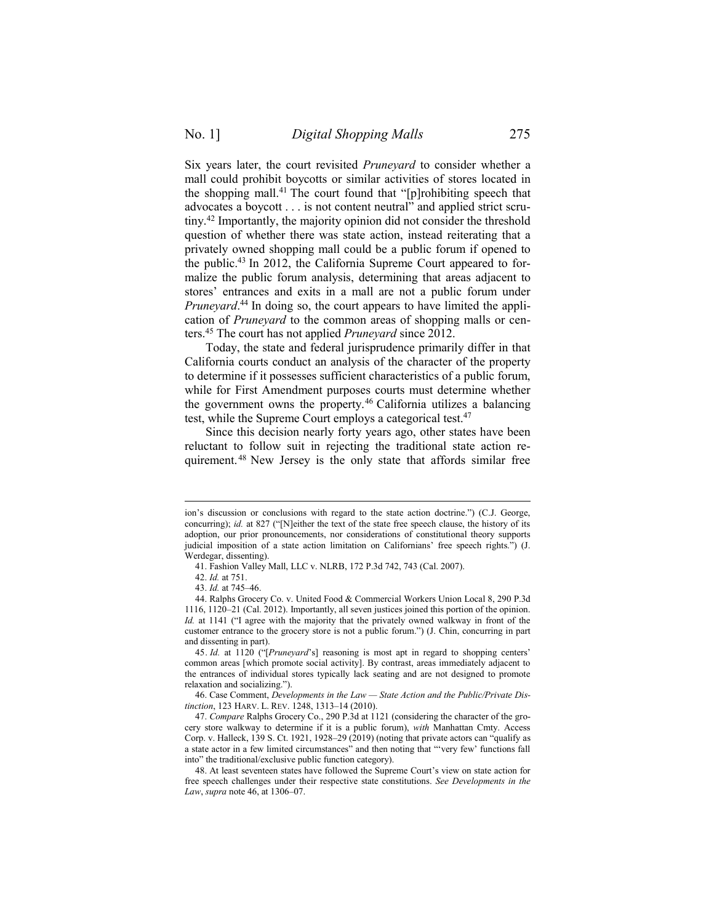Six years later, the court revisited *Pruneyard* to consider whether a mall could prohibit boycotts or similar activities of stores located in the shopping mall.<sup>41</sup> The court found that " $[p]$ rohibiting speech that advocates a boycott . . . is not content neutral" and applied strict scrutiny.<sup>42</sup> Importantly, the majority opinion did not consider the threshold question of whether there was state action, instead reiterating that a privately owned shopping mall could be a public forum if opened to the public.<sup>43</sup> In 2012, the California Supreme Court appeared to formalize the public forum analysis, determining that areas adjacent to stores' entrances and exits in a mall are not a public forum under *Pruneyard*. <sup>44</sup> In doing so, the court appears to have limited the application of *Pruneyard* to the common areas of shopping malls or centers.<sup>45</sup> The court has not applied *Pruneyard* since 2012.

Today, the state and federal jurisprudence primarily differ in that California courts conduct an analysis of the character of the property to determine if it possesses sufficient characteristics of a public forum, while for First Amendment purposes courts must determine whether the government owns the property.<sup>46</sup> California utilizes a balancing test, while the Supreme Court employs a categorical test.<sup>47</sup>

<span id="page-6-1"></span><span id="page-6-0"></span>Since this decision nearly forty years ago, other states have been reluctant to follow suit in rejecting the traditional state action requirement.<sup>48</sup> New Jersey is the only state that affords similar free

ion's discussion or conclusions with regard to the state action doctrine.") (C.J. George, concurring); *id.* at 827 ("[N]either the text of the state free speech clause, the history of its adoption, our prior pronouncements, nor considerations of constitutional theory supports judicial imposition of a state action limitation on Californians' free speech rights.") (J. Werdegar, dissenting).

<sup>41.</sup> Fashion Valley Mall, LLC v. NLRB, 172 P.3d 742, 743 (Cal. 2007).

<sup>42.</sup> *Id.* at 751.

<sup>43.</sup> *Id.* at 745–46.

<sup>44.</sup> Ralphs Grocery Co. v. United Food & Commercial Workers Union Local 8, 290 P.3d 1116, 1120–21 (Cal. 2012). Importantly, all seven justices joined this portion of the opinion. *Id.* at 1141 ("I agree with the majority that the privately owned walkway in front of the customer entrance to the grocery store is not a public forum.") (J. Chin, concurring in part and dissenting in part).

<sup>45.</sup> *Id.* at 1120 ("[*Pruneyard*'s] reasoning is most apt in regard to shopping centers' common areas [which promote social activity]. By contrast, areas immediately adjacent to the entrances of individual stores typically lack seating and are not designed to promote relaxation and socializing.").

<sup>46.</sup> Case Comment, *Developments in the Law — State Action and the Public/Private Distinction*, 123 HARV. L. REV. 1248, 1313–14 (2010).

<sup>47.</sup> *Compare* Ralphs Grocery Co., 290 P.3d at 1121 (considering the character of the grocery store walkway to determine if it is a public forum), *with* Manhattan Cmty. Access Corp. v. Halleck, 139 S. Ct. 1921, 1928–29 (2019) (noting that private actors can "qualify as a state actor in a few limited circumstances" and then noting that "'very few' functions fall into" the traditional/exclusive public function category).

<sup>48.</sup> At least seventeen states have followed the Supreme Court's view on state action for free speech challenges under their respective state constitutions. *See Developments in the Law*, *supra* not[e 46,](#page-6-0) at 1306–07.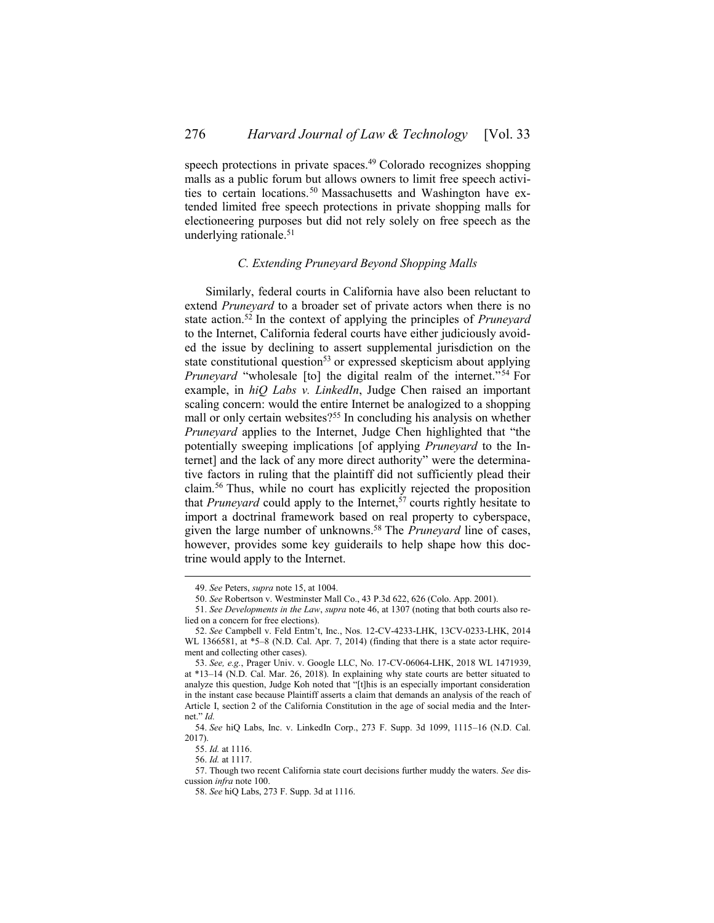speech protections in private spaces.<sup>49</sup> Colorado recognizes shopping malls as a public forum but allows owners to limit free speech activities to certain locations.<sup>50</sup> Massachusetts and Washington have extended limited free speech protections in private shopping malls for electioneering purposes but did not rely solely on free speech as the underlying rationale. $51$ 

## <span id="page-7-1"></span>*C. Extending Pruneyard Beyond Shopping Malls*

<span id="page-7-0"></span>Similarly, federal courts in California have also been reluctant to extend *Pruneyard* to a broader set of private actors when there is no state action.<sup>52</sup> In the context of applying the principles of *Pruneyard*  to the Internet, California federal courts have either judiciously avoided the issue by declining to assert supplemental jurisdiction on the state constitutional question<sup>53</sup> or expressed skepticism about applying *Pruneyard* "wholesale [to] the digital realm of the internet." <sup>54</sup> For example, in *hiQ Labs v. LinkedIn*, Judge Chen raised an important scaling concern: would the entire Internet be analogized to a shopping mall or only certain websites?<sup>55</sup> In concluding his analysis on whether *Pruneyard* applies to the Internet, Judge Chen highlighted that "the potentially sweeping implications [of applying *Pruneyard* to the Internet] and the lack of any more direct authority" were the determinative factors in ruling that the plaintiff did not sufficiently plead their claim.<sup>56</sup> Thus, while no court has explicitly rejected the proposition that *Pruneyard* could apply to the Internet,<sup>57</sup> courts rightly hesitate to import a doctrinal framework based on real property to cyberspace, given the large number of unknowns.<sup>58</sup> The *Pruneyard* line of cases, however, provides some key guiderails to help shape how this doctrine would apply to the Internet.

55. *Id.* at 1116.

<sup>49.</sup> *See* Peters, *supra* not[e 15,](#page-2-1) at 1004.

<sup>50.</sup> *See* Robertson v. Westminster Mall Co., 43 P.3d 622, 626 (Colo. App. 2001).

<sup>51.</sup> *See Developments in the Law*, *supra* not[e 46,](#page-6-0) at 1307 (noting that both courts also relied on a concern for free elections).

<sup>52.</sup> *See* Campbell v. Feld Entm't, Inc., Nos. 12-CV-4233-LHK, 13CV-0233-LHK, 2014 WL 1366581, at \*5–8 (N.D. Cal. Apr. 7, 2014) (finding that there is a state actor requirement and collecting other cases).

<sup>53.</sup> *See, e.g.*, Prager Univ. v. Google LLC, No. 17-CV-06064-LHK, 2018 WL 1471939, at \*13–14 (N.D. Cal. Mar. 26, 2018). In explaining why state courts are better situated to analyze this question, Judge Koh noted that "[t]his is an especially important consideration in the instant case because Plaintiff asserts a claim that demands an analysis of the reach of Article I, section 2 of the California Constitution in the age of social media and the Internet." *Id.*

<sup>54.</sup> *See* hiQ Labs, Inc. v. LinkedIn Corp., 273 F. Supp. 3d 1099, 1115–16 (N.D. Cal. 2017).

<sup>56.</sup> *Id.* at 1117.

<sup>57.</sup> Though two recent California state court decisions further muddy the waters. *See* discussion *infra* not[e 100.](#page-13-0)

<sup>58.</sup> *See* hiQ Labs, 273 F. Supp. 3d at 1116.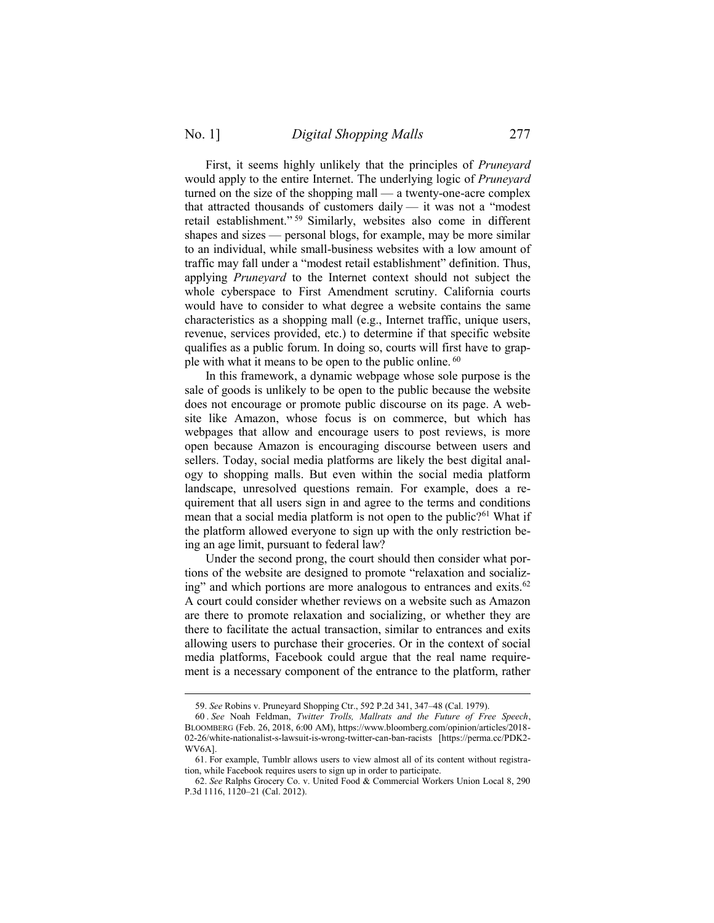First, it seems highly unlikely that the principles of *Pruneyard* would apply to the entire Internet. The underlying logic of *Pruneyard*  turned on the size of the shopping mall — a twenty-one-acre complex that attracted thousands of customers daily — it was not a "modest retail establishment." <sup>59</sup> Similarly, websites also come in different shapes and sizes — personal blogs, for example, may be more similar to an individual, while small-business websites with a low amount of traffic may fall under a "modest retail establishment" definition. Thus, applying *Pruneyard* to the Internet context should not subject the whole cyberspace to First Amendment scrutiny. California courts would have to consider to what degree a website contains the same characteristics as a shopping mall (e.g., Internet traffic, unique users, revenue, services provided, etc.) to determine if that specific website qualifies as a public forum. In doing so, courts will first have to grapple with what it means to be open to the public online. <sup>60</sup>

In this framework, a dynamic webpage whose sole purpose is the sale of goods is unlikely to be open to the public because the website does not encourage or promote public discourse on its page. A website like Amazon, whose focus is on commerce, but which has webpages that allow and encourage users to post reviews, is more open because Amazon is encouraging discourse between users and sellers. Today, social media platforms are likely the best digital analogy to shopping malls. But even within the social media platform landscape, unresolved questions remain. For example, does a requirement that all users sign in and agree to the terms and conditions mean that a social media platform is not open to the public?<sup>61</sup> What if the platform allowed everyone to sign up with the only restriction being an age limit, pursuant to federal law?

Under the second prong, the court should then consider what portions of the website are designed to promote "relaxation and socializing" and which portions are more analogous to entrances and exits. $62$ A court could consider whether reviews on a website such as Amazon are there to promote relaxation and socializing, or whether they are there to facilitate the actual transaction, similar to entrances and exits allowing users to purchase their groceries. Or in the context of social media platforms, Facebook could argue that the real name requirement is a necessary component of the entrance to the platform, rather

<sup>59.</sup> *See* Robins v. Pruneyard Shopping Ctr., 592 P.2d 341, 347–48 (Cal. 1979).

<sup>60</sup> . *See* Noah Feldman, *Twitter Trolls, Mallrats and the Future of Free Speech*, BLOOMBERG (Feb. 26, 2018, 6:00 AM), https://www.bloomberg.com/opinion/articles/2018- 02-26/white-nationalist-s-lawsuit-is-wrong-twitter-can-ban-racists [https://perma.cc/PDK2- WV6A].

<sup>61.</sup> For example, Tumblr allows users to view almost all of its content without registration, while Facebook requires users to sign up in order to participate.

<sup>62.</sup> *See* Ralphs Grocery Co. v. United Food & Commercial Workers Union Local 8, 290 P.3d 1116, 1120–21 (Cal. 2012).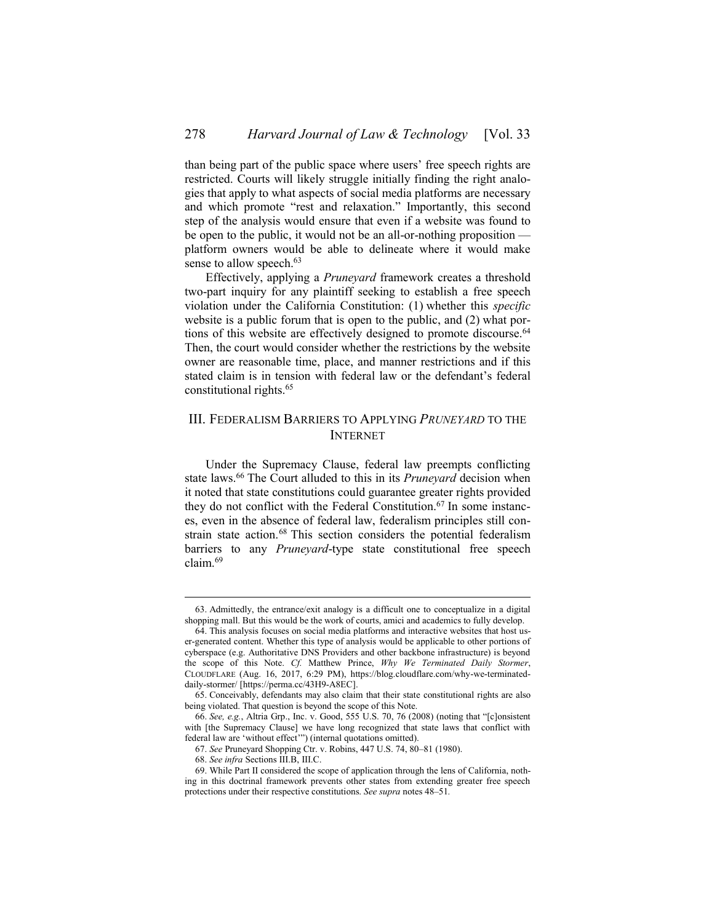than being part of the public space where users' free speech rights are restricted. Courts will likely struggle initially finding the right analogies that apply to what aspects of social media platforms are necessary and which promote "rest and relaxation." Importantly, this second step of the analysis would ensure that even if a website was found to be open to the public, it would not be an all-or-nothing proposition platform owners would be able to delineate where it would make sense to allow speech.<sup>63</sup>

Effectively, applying a *Pruneyard* framework creates a threshold two-part inquiry for any plaintiff seeking to establish a free speech violation under the California Constitution: (1) whether this *specific*  website is a public forum that is open to the public, and (2) what portions of this website are effectively designed to promote discourse.<sup>64</sup> Then, the court would consider whether the restrictions by the website owner are reasonable time, place, and manner restrictions and if this stated claim is in tension with federal law or the defendant's federal constitutional rights. 65

# <span id="page-9-0"></span>III. FEDERALISM BARRIERS TO APPLYING *PRUNEYARD* TO THE INTERNET

Under the Supremacy Clause, federal law preempts conflicting state laws.<sup>66</sup> The Court alluded to this in its *Pruneyard* decision when it noted that state constitutions could guarantee greater rights provided they do not conflict with the Federal Constitution.<sup>67</sup> In some instances, even in the absence of federal law, federalism principles still constrain state action.<sup>68</sup> This section considers the potential federalism barriers to any *Pruneyard*-type state constitutional free speech claim.<sup>69</sup>

<sup>63.</sup> Admittedly, the entrance/exit analogy is a difficult one to conceptualize in a digital shopping mall. But this would be the work of courts, amici and academics to fully develop.

<sup>64.</sup> This analysis focuses on social media platforms and interactive websites that host user-generated content. Whether this type of analysis would be applicable to other portions of cyberspace (e.g. Authoritative DNS Providers and other backbone infrastructure) is beyond the scope of this Note. *Cf.* Matthew Prince, *Why We Terminated Daily Stormer*, CLOUDFLARE (Aug. 16, 2017, 6:29 PM), https://blog.cloudflare.com/why-we-terminateddaily-stormer/ [https://perma.cc/43H9-A8EC].

<sup>65.</sup> Conceivably, defendants may also claim that their state constitutional rights are also being violated. That question is beyond the scope of this Note.

<sup>66.</sup> *See, e.g.*, Altria Grp., Inc. v. Good, 555 U.S. 70, 76 (2008) (noting that "[c]onsistent with [the Supremacy Clause] we have long recognized that state laws that conflict with federal law are 'without effect'") (internal quotations omitted).

<sup>67.</sup> *See* Pruneyard Shopping Ctr. v. Robins, 447 U.S. 74, 80–81 (1980).

<sup>68.</sup> *See infra* Sections [III](#page-9-0)[.B,](#page-14-0) II[I.C.](#page-17-0)

<sup>69.</sup> While Part II considered the scope of application through the lens of California, nothing in this doctrinal framework prevents other states from extending greater free speech protections under their respective constitutions. *See supra* note[s 48](#page-6-1)–[51](#page-7-1)*.*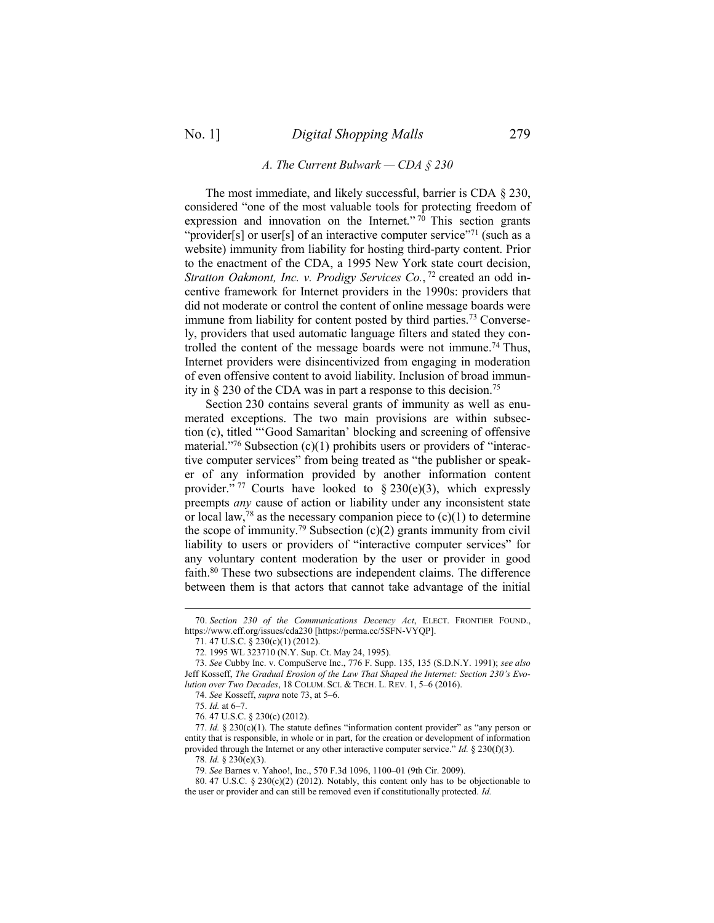#### <span id="page-10-1"></span>*A. The Current Bulwark — CDA § 230*

<span id="page-10-0"></span>The most immediate, and likely successful, barrier is CDA § 230, considered "one of the most valuable tools for protecting freedom of expression and innovation on the Internet."<sup>70</sup> This section grants "provider[s] or user[s] of an interactive computer service"<sup>71</sup> (such as a website) immunity from liability for hosting third-party content. Prior to the enactment of the CDA, a 1995 New York state court decision, *Stratton Oakmont, Inc. v. Prodigy Services Co.*, <sup>72</sup> created an odd incentive framework for Internet providers in the 1990s: providers that did not moderate or control the content of online message boards were immune from liability for content posted by third parties.<sup>73</sup> Conversely, providers that used automatic language filters and stated they controlled the content of the message boards were not immune.<sup>74</sup> Thus, Internet providers were disincentivized from engaging in moderation of even offensive content to avoid liability. Inclusion of broad immunity in  $\S 230$  of the CDA was in part a response to this decision.<sup>75</sup>

Section 230 contains several grants of immunity as well as enumerated exceptions. The two main provisions are within subsection (c), titled "'Good Samaritan' blocking and screening of offensive material."<sup>76</sup> Subsection (c)(1) prohibits users or providers of "interactive computer services" from being treated as "the publisher or speaker of any information provided by another information content provider."<sup>77</sup> Courts have looked to  $\S 230(e)(3)$ , which expressly preempts *any* cause of action or liability under any inconsistent state or local law,<sup>78</sup> as the necessary companion piece to  $(c)(1)$  to determine the scope of immunity.<sup>79</sup> Subsection (c)(2) grants immunity from civil liability to users or providers of "interactive computer services" for any voluntary content moderation by the user or provider in good faith.<sup>80</sup> These two subsections are independent claims. The difference between them is that actors that cannot take advantage of the initial

<sup>70.</sup> *Section 230 of the Communications Decency Act*, ELECT. FRONTIER FOUND., https://www.eff.org/issues/cda230 [https://perma.cc/5SFN-VYQP].

<sup>71.</sup> 47 U.S.C. § 230(c)(1) (2012).

<sup>72.</sup> 1995 WL 323710 (N.Y. Sup. Ct. May 24, 1995).

<sup>73.</sup> *See* Cubby Inc. v. CompuServe Inc., 776 F. Supp. 135, 135 (S.D.N.Y. 1991); *see also*  Jeff Kosseff, *The Gradual Erosion of the Law That Shaped the Internet: Section 230's Evolution over Two Decades*, 18 COLUM. SCI. & TECH. L. REV. 1, 5–6 (2016).

<sup>74.</sup> *See* Kosseff, *supra* not[e 73,](#page-10-1) at 5–6.

<sup>75.</sup> *Id.* at 6–7.

<sup>76.</sup> 47 U.S.C. § 230(c) (2012).

<sup>77.</sup> *Id.*  $\S$  230(c)(1). The statute defines "information content provider" as "any person or entity that is responsible, in whole or in part, for the creation or development of information provided through the Internet or any other interactive computer service." *Id.* § 230(f)(3).

<sup>78.</sup> *Id.* § 230(e)(3).

<sup>79.</sup> *See* Barnes v. Yahoo!, Inc., 570 F.3d 1096, 1100–01 (9th Cir. 2009).

<sup>80. 47</sup> U.S.C. § 230(c)(2) (2012). Notably, this content only has to be objectionable to the user or provider and can still be removed even if constitutionally protected. *Id.*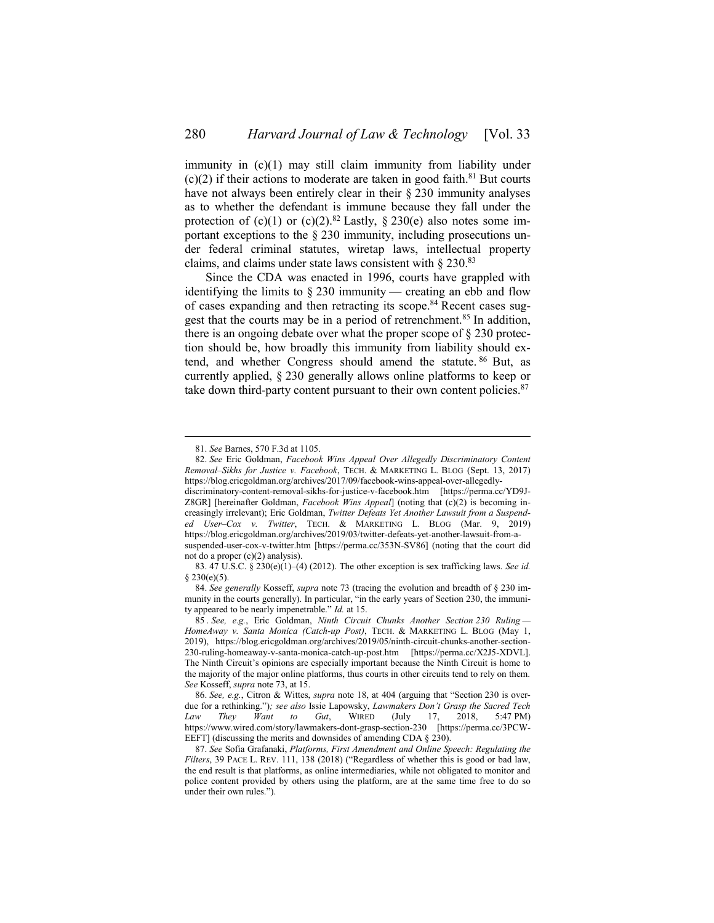<span id="page-11-0"></span>immunity in  $(c)(1)$  may still claim immunity from liability under  $(c)(2)$  if their actions to moderate are taken in good faith.<sup>81</sup> But courts have not always been entirely clear in their § 230 immunity analyses as to whether the defendant is immune because they fall under the protection of (c)(1) or (c)(2).<sup>82</sup> Lastly, § 230(e) also notes some important exceptions to the § 230 immunity, including prosecutions under federal criminal statutes, wiretap laws, intellectual property claims, and claims under state laws consistent with  $\S 230$ .<sup>83</sup>

Since the CDA was enacted in 1996, courts have grappled with identifying the limits to  $\S 230$  immunity — creating an ebb and flow of cases expanding and then retracting its scope.<sup>84</sup> Recent cases suggest that the courts may be in a period of retrenchment.<sup>85</sup> In addition, there is an ongoing debate over what the proper scope of § 230 protection should be, how broadly this immunity from liability should extend, and whether Congress should amend the statute. <sup>86</sup> But, as currently applied, § 230 generally allows online platforms to keep or take down third-party content pursuant to their own content policies. $87$ 

<sup>81.</sup> *See* Barnes, 570 F.3d at 1105.

<sup>82.</sup> *See* Eric Goldman, *Facebook Wins Appeal Over Allegedly Discriminatory Content Removal–Sikhs for Justice v. Facebook*, TECH. & MARKETING L. BLOG (Sept. 13, 2017) https://blog.ericgoldman.org/archives/2017/09/facebook-wins-appeal-over-allegedly-

discriminatory-content-removal-sikhs-for-justice-v-facebook.htm [https://perma.cc/YD9J-Z8GR] [hereinafter Goldman, *Facebook Wins Appeal*] (noting that (c)(2) is becoming increasingly irrelevant); Eric Goldman, *Twitter Defeats Yet Another Lawsuit from a Suspended User–Cox v. Twitter*, TECH. & MARKETING L. BLOG (Mar. 9, 2019) https://blog.ericgoldman.org/archives/2019/03/twitter-defeats-yet-another-lawsuit-from-asuspended-user-cox-v-twitter.htm [https://perma.cc/353N-SV86] (noting that the court did

not do a proper (c)(2) analysis). 83. 47 U.S.C. § 230(e)(1)–(4) (2012). The other exception is sex trafficking laws. *See id.* 

<sup>§</sup> 230(e)(5).

<sup>84.</sup> *See generally* Kosseff, *supra* not[e 73](#page-10-1) (tracing the evolution and breadth of § 230 immunity in the courts generally). In particular, "in the early years of Section 230, the immunity appeared to be nearly impenetrable." *Id.* at 15.

<sup>85</sup> . *See, e.g.*, Eric Goldman, *Ninth Circuit Chunks Another Section 230 Ruling — HomeAway v. Santa Monica (Catch-up Post)*, TECH. & MARKETING L. BLOG (May 1, 2019), https://blog.ericgoldman.org/archives/2019/05/ninth-circuit-chunks-another-section-230-ruling-homeaway-v-santa-monica-catch-up-post.htm [https://perma.cc/X2J5-XDVL]. The Ninth Circuit's opinions are especially important because the Ninth Circuit is home to the majority of the major online platforms, thus courts in other circuits tend to rely on them. *See* Kosseff, *supra* not[e 73,](#page-10-1) at 15.

<sup>86.</sup> *See, e.g.*, Citron & Wittes, *supra* note [18,](#page-3-0) at 404 (arguing that "Section 230 is overdue for a rethinking.")*; see also* Issie Lapowsky, *Lawmakers Don't Grasp the Sacred Tech Law They Want to Gut*, WIRED (July 17, 2018, 5:47 PM) https://www.wired.com/story/lawmakers-dont-grasp-section-230 [https://perma.cc/3PCW-EEFT] (discussing the merits and downsides of amending CDA § 230).

<sup>87.</sup> *See* Sofia Grafanaki, *Platforms, First Amendment and Online Speech: Regulating the Filters*, 39 PACE L. REV. 111, 138 (2018) ("Regardless of whether this is good or bad law, the end result is that platforms, as online intermediaries, while not obligated to monitor and police content provided by others using the platform, are at the same time free to do so under their own rules.").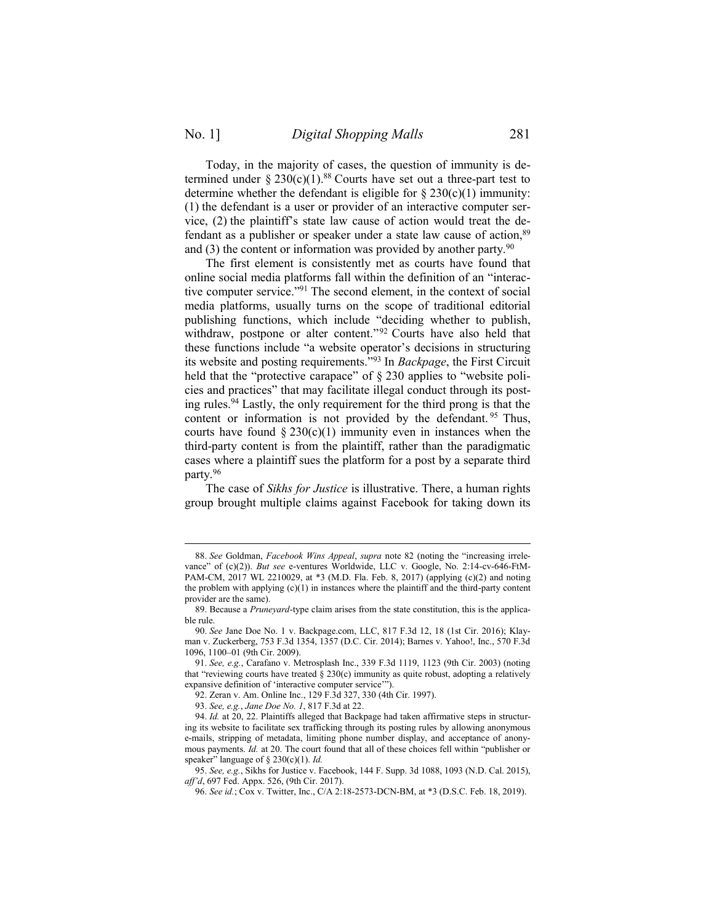Today, in the majority of cases, the question of immunity is determined under § 230(c)(1).<sup>88</sup> Courts have set out a three-part test to determine whether the defendant is eligible for  $\S 230(c)(1)$  immunity: (1) the defendant is a user or provider of an interactive computer service, (2) the plaintiff's state law cause of action would treat the defendant as a publisher or speaker under a state law cause of action, 89 and  $(3)$  the content or information was provided by another party.<sup>90</sup>

The first element is consistently met as courts have found that online social media platforms fall within the definition of an "interactive computer service." <sup>91</sup> The second element, in the context of social media platforms, usually turns on the scope of traditional editorial publishing functions, which include "deciding whether to publish, withdraw, postpone or alter content."<sup>92</sup> Courts have also held that these functions include "a website operator's decisions in structuring its website and posting requirements." <sup>93</sup> In *Backpage*, the First Circuit held that the "protective carapace" of  $\S 230$  applies to "website policies and practices" that may facilitate illegal conduct through its posting rules.<sup>94</sup> Lastly, the only requirement for the third prong is that the content or information is not provided by the defendant. <sup>95</sup> Thus, courts have found  $\S 230(c)(1)$  immunity even in instances when the third-party content is from the plaintiff, rather than the paradigmatic cases where a plaintiff sues the platform for a post by a separate third party.<sup>96</sup>

The case of *Sikhs for Justice* is illustrative. There, a human rights group brought multiple claims against Facebook for taking down its

<sup>88.</sup> *See* Goldman, *Facebook Wins Appeal*, *supra* not[e 82](#page-11-0) (noting the "increasing irrelevance" of (c)(2)). *But see* e-ventures Worldwide, LLC v. Google, No. 2:14-cv-646-FtM-PAM-CM, 2017 WL 2210029, at \*3 (M.D. Fla. Feb. 8, 2017) (applying (c)(2) and noting the problem with applying  $(c)(1)$  in instances where the plaintiff and the third-party content provider are the same).

<sup>89.</sup> Because a *Pruneyard*-type claim arises from the state constitution, this is the applicable rule.

<sup>90.</sup> *See* Jane Doe No. 1 v. Backpage.com, LLC, 817 F.3d 12, 18 (1st Cir. 2016); Klayman v. Zuckerberg, 753 F.3d 1354, 1357 (D.C. Cir. 2014); Barnes v. Yahoo!, Inc., 570 F.3d 1096, 1100–01 (9th Cir. 2009).

<sup>91.</sup> *See, e.g.*, Carafano v. Metrosplash Inc., 339 F.3d 1119, 1123 (9th Cir. 2003) (noting that "reviewing courts have treated  $\S 230(c)$  immunity as quite robust, adopting a relatively expansive definition of 'interactive computer service'").

<sup>92.</sup> Zeran v. Am. Online Inc., 129 F.3d 327, 330 (4th Cir. 1997).

<sup>93.</sup> *See, e.g.*, *Jane Doe No. 1*, 817 F.3d at 22.

<sup>94.</sup> *Id.* at 20, 22. Plaintiffs alleged that Backpage had taken affirmative steps in structuring its website to facilitate sex trafficking through its posting rules by allowing anonymous e-mails, stripping of metadata, limiting phone number display, and acceptance of anonymous payments. *Id.* at 20. The court found that all of these choices fell within "publisher or speaker" language of § 230(c)(1). *Id.*

<sup>95.</sup> *See, e.g.*, Sikhs for Justice v. Facebook, 144 F. Supp. 3d 1088, 1093 (N.D. Cal. 2015), *aff'd*, 697 Fed. Appx. 526, (9th Cir. 2017).

<sup>96.</sup> *See id.*; Cox v. Twitter, Inc., C/A 2:18-2573-DCN-BM, at \*3 (D.S.C. Feb. 18, 2019).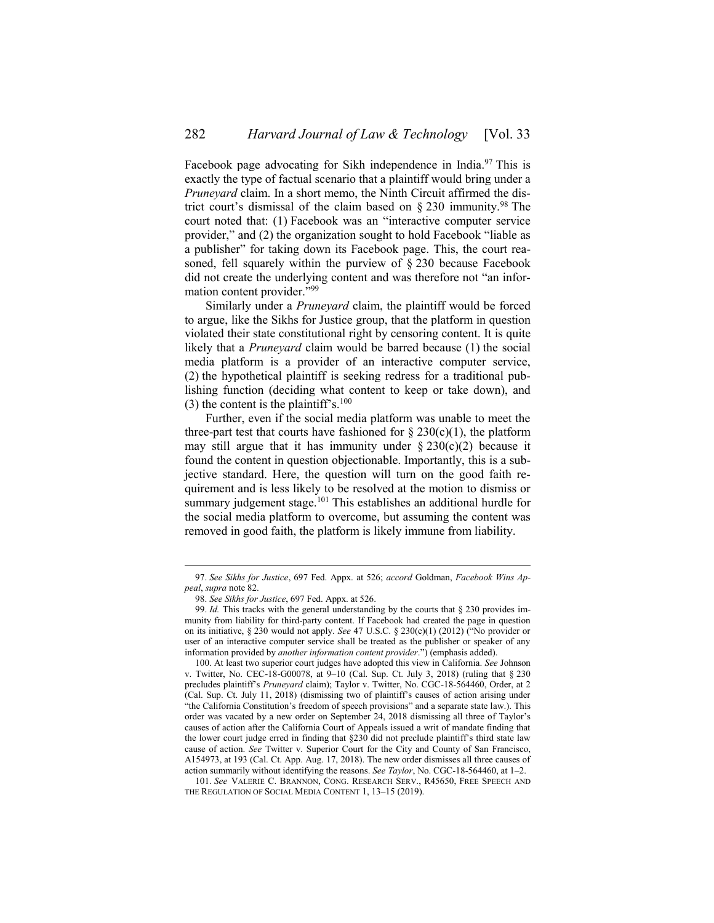Facebook page advocating for Sikh independence in India.<sup>97</sup> This is exactly the type of factual scenario that a plaintiff would bring under a *Pruneyard* claim. In a short memo, the Ninth Circuit affirmed the district court's dismissal of the claim based on  $\S 230$  immunity.<sup>98</sup> The court noted that: (1) Facebook was an "interactive computer service provider," and (2) the organization sought to hold Facebook "liable as a publisher" for taking down its Facebook page. This, the court reasoned, fell squarely within the purview of § 230 because Facebook did not create the underlying content and was therefore not "an information content provider." 99

Similarly under a *Pruneyard* claim, the plaintiff would be forced to argue, like the Sikhs for Justice group, that the platform in question violated their state constitutional right by censoring content. It is quite likely that a *Pruneyard* claim would be barred because (1) the social media platform is a provider of an interactive computer service, (2) the hypothetical plaintiff is seeking redress for a traditional publishing function (deciding what content to keep or take down), and (3) the content is the plaintiff's.<sup>100</sup>

<span id="page-13-0"></span>Further, even if the social media platform was unable to meet the three-part test that courts have fashioned for  $\S 230(c)(1)$ , the platform may still argue that it has immunity under  $\S 230(c)(2)$  because it found the content in question objectionable. Importantly, this is a subjective standard. Here, the question will turn on the good faith requirement and is less likely to be resolved at the motion to dismiss or summary judgement stage.<sup>101</sup> This establishes an additional hurdle for the social media platform to overcome, but assuming the content was removed in good faith, the platform is likely immune from liability.

<span id="page-13-1"></span><sup>97.</sup> *See Sikhs for Justice*, 697 Fed. Appx. at 526; *accord* Goldman, *Facebook Wins Appeal*, *supra* not[e 82.](#page-11-0)

<sup>98.</sup> *See Sikhs for Justice*, 697 Fed. Appx. at 526.

<sup>99.</sup> *Id.* This tracks with the general understanding by the courts that § 230 provides immunity from liability for third-party content. If Facebook had created the page in question on its initiative, § 230 would not apply. *See* 47 U.S.C. § 230(c)(1) (2012) ("No provider or user of an interactive computer service shall be treated as the publisher or speaker of any information provided by *another information content provider*.") (emphasis added).

<sup>100.</sup> At least two superior court judges have adopted this view in California. *See* Johnson v. Twitter, No. CEC-18-G00078, at 9–10 (Cal. Sup. Ct. July 3, 2018) (ruling that § 230 precludes plaintiff's *Pruneyard* claim); Taylor v. Twitter, No. CGC-18-564460, Order, at 2 (Cal. Sup. Ct. July 11, 2018) (dismissing two of plaintiff's causes of action arising under "the California Constitution's freedom of speech provisions" and a separate state law.). This order was vacated by a new order on September 24, 2018 dismissing all three of Taylor's causes of action after the California Court of Appeals issued a writ of mandate finding that the lower court judge erred in finding that §230 did not preclude plaintiff's third state law cause of action. *See* Twitter v. Superior Court for the City and County of San Francisco, A154973, at 193 (Cal. Ct. App. Aug. 17, 2018). The new order dismisses all three causes of action summarily without identifying the reasons. *See Taylor*, No. CGC-18-564460, at 1–2.

<sup>101.</sup> *See* VALERIE C. BRANNON, CONG. RESEARCH SERV., R45650, FREE SPEECH AND THE REGULATION OF SOCIAL MEDIA CONTENT 1, 13–15 (2019).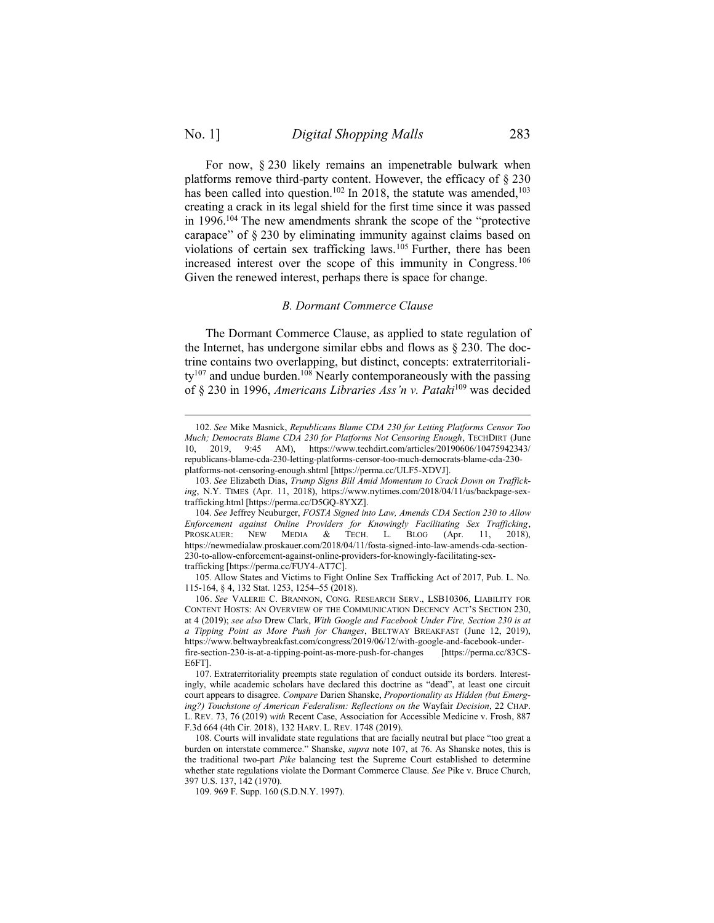For now, § 230 likely remains an impenetrable bulwark when platforms remove third-party content. However, the efficacy of § 230 has been called into question.<sup>102</sup> In 2018, the statute was amended,  $103$ creating a crack in its legal shield for the first time since it was passed in 1996.<sup>104</sup> The new amendments shrank the scope of the "protective carapace" of § 230 by eliminating immunity against claims based on violations of certain sex trafficking laws.<sup>105</sup> Further, there has been increased interest over the scope of this immunity in Congress. 106 Given the renewed interest, perhaps there is space for change.

#### *B. Dormant Commerce Clause*

<span id="page-14-1"></span><span id="page-14-0"></span>The Dormant Commerce Clause, as applied to state regulation of the Internet, has undergone similar ebbs and flows as § 230. The doctrine contains two overlapping, but distinct, concepts: extraterritoriality<sup>107</sup> and undue burden.<sup>108</sup> Nearly contemporaneously with the passing of § 230 in 1996, *Americans Libraries Ass'n v. Pataki*<sup>109</sup> was decided

<sup>102.</sup> *See* Mike Masnick, *Republicans Blame CDA 230 for Letting Platforms Censor Too Much; Democrats Blame CDA 230 for Platforms Not Censoring Enough*, TECHDIRT (June 10, 2019, 9:45 AM), https://www.techdirt.com/articles/20190606/10475942343/ republicans-blame-cda-230-letting-platforms-censor-too-much-democrats-blame-cda-230 platforms-not-censoring-enough.shtml [https://perma.cc/ULF5-XDVJ].

<sup>103.</sup> *See* Elizabeth Dias, *Trump Signs Bill Amid Momentum to Crack Down on Trafficking*, N.Y. TIMES (Apr. 11, 2018), https://www.nytimes.com/2018/04/11/us/backpage-sextrafficking.html [https://perma.cc/D5GQ-8YXZ].

<sup>104.</sup> *See* Jeffrey Neuburger, *FOSTA Signed into Law, Amends CDA Section 230 to Allow Enforcement against Online Providers for Knowingly Facilitating Sex Trafficking*, PROSKAUER: NEW MEDIA & TECH. L. BLOG (Apr. 11, 2018), https://newmedialaw.proskauer.com/2018/04/11/fosta-signed-into-law-amends-cda-section-230-to-allow-enforcement-against-online-providers-for-knowingly-facilitating-sextrafficking [https://perma.cc/FUY4-AT7C].

<sup>105.</sup> Allow States and Victims to Fight Online Sex Trafficking Act of 2017, Pub. L. No. 115-164, § 4, 132 Stat. 1253, 1254–55 (2018).

<sup>106.</sup> *See* VALERIE C. BRANNON, CONG. RESEARCH SERV., LSB10306, LIABILITY FOR CONTENT HOSTS: AN OVERVIEW OF THE COMMUNICATION DECENCY ACT'S SECTION 230, at 4 (2019); *see also* Drew Clark, *With Google and Facebook Under Fire, Section 230 is at a Tipping Point as More Push for Changes*, BELTWAY BREAKFAST (June 12, 2019), https://www.beltwaybreakfast.com/congress/2019/06/12/with-google-and-facebook-underfire-section-230-is-at-a-tipping-point-as-more-push-for-changes [https://perma.cc/83CS-E6FT].

<sup>107.</sup> Extraterritoriality preempts state regulation of conduct outside its borders. Interestingly, while academic scholars have declared this doctrine as "dead", at least one circuit court appears to disagree. *Compare* Darien Shanske, *Proportionality as Hidden (but Emerging?) Touchstone of American Federalism: Reflections on the* Wayfair *Decision*, 22 CHAP. L. REV. 73, 76 (2019) *with* Recent Case, Association for Accessible Medicine v. Frosh, 887 F.3d 664 (4th Cir. 2018), 132 HARV. L. REV. 1748 (2019).

<sup>108.</sup> Courts will invalidate state regulations that are facially neutral but place "too great a burden on interstate commerce." Shanske, *supra* not[e 107,](#page-14-1) at 76. As Shanske notes, this is the traditional two-part *Pike* balancing test the Supreme Court established to determine whether state regulations violate the Dormant Commerce Clause. *See* Pike v. Bruce Church, 397 U.S. 137, 142 (1970).

<sup>109.</sup> 969 F. Supp. 160 (S.D.N.Y. 1997).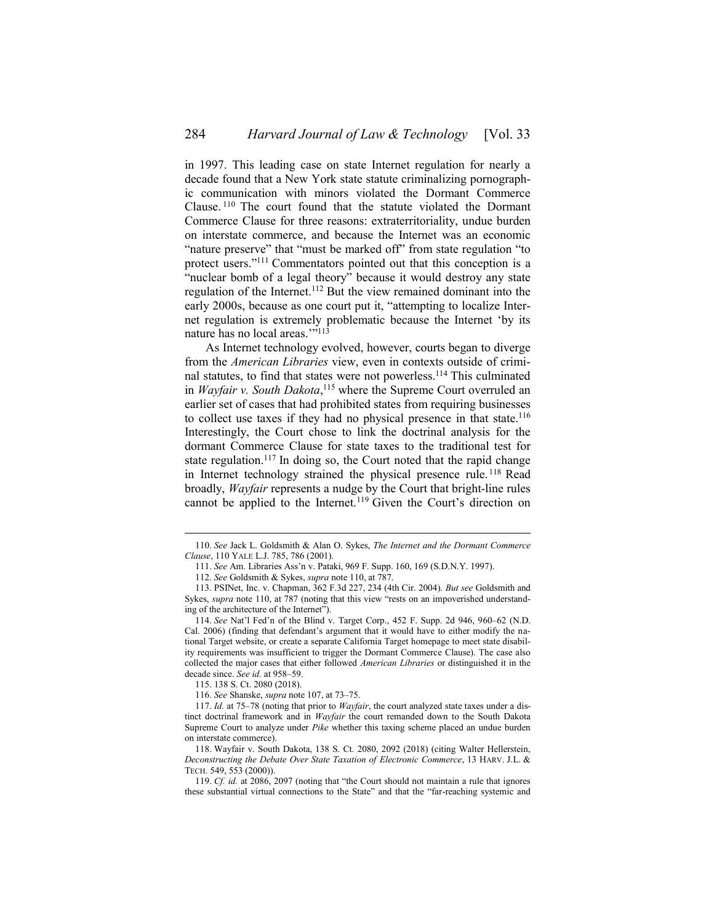<span id="page-15-0"></span>in 1997. This leading case on state Internet regulation for nearly a decade found that a New York state statute criminalizing pornographic communication with minors violated the Dormant Commerce Clause. <sup>110</sup> The court found that the statute violated the Dormant Commerce Clause for three reasons: extraterritoriality, undue burden on interstate commerce, and because the Internet was an economic "nature preserve" that "must be marked off" from state regulation "to protect users."<sup>111</sup> Commentators pointed out that this conception is a "nuclear bomb of a legal theory" because it would destroy any state regulation of the Internet.<sup>112</sup> But the view remained dominant into the early 2000s, because as one court put it, "attempting to localize Internet regulation is extremely problematic because the Internet 'by its nature has no local areas.""<sup>113</sup>

As Internet technology evolved, however, courts began to diverge from the *American Libraries* view, even in contexts outside of criminal statutes, to find that states were not powerless.<sup>114</sup> This culminated in *Wayfair v. South Dakota*, <sup>115</sup> where the Supreme Court overruled an earlier set of cases that had prohibited states from requiring businesses to collect use taxes if they had no physical presence in that state.<sup>116</sup> Interestingly, the Court chose to link the doctrinal analysis for the dormant Commerce Clause for state taxes to the traditional test for state regulation.<sup>117</sup> In doing so, the Court noted that the rapid change in Internet technology strained the physical presence rule. <sup>118</sup> Read broadly, *Wayfair* represents a nudge by the Court that bright-line rules cannot be applied to the Internet.<sup>119</sup> Given the Court's direction on

<sup>110.</sup> *See* Jack L. Goldsmith & Alan O. Sykes, *The Internet and the Dormant Commerce Clause*, 110 YALE L.J. 785, 786 (2001).

<sup>111.</sup> *See* Am. Libraries Ass'n v. Pataki, 969 F. Supp. 160, 169 (S.D.N.Y. 1997).

<sup>112.</sup> *See* Goldsmith & Sykes, *supra* not[e 110,](#page-15-0) at 787.

<sup>113.</sup> PSINet, Inc. v. Chapman, 362 F.3d 227, 234 (4th Cir. 2004). *But see* Goldsmith and Sykes, *supra* note [110](#page-15-0), at 787 (noting that this view "rests on an impoverished understanding of the architecture of the Internet").

<sup>114.</sup> *See* Nat'l Fed'n of the Blind v. Target Corp., 452 F. Supp. 2d 946, 960–62 (N.D. Cal. 2006) (finding that defendant's argument that it would have to either modify the national Target website, or create a separate California Target homepage to meet state disability requirements was insufficient to trigger the Dormant Commerce Clause). The case also collected the major cases that either followed *American Libraries* or distinguished it in the decade since. *See id.* at 958–59.

<sup>115.</sup> 138 S. Ct. 2080 (2018).

<sup>116.</sup> *See* Shanske, *supra* not[e 107,](#page-14-1) at 73–75.

<sup>117.</sup> *Id.* at 75–78 (noting that prior to *Wayfair*, the court analyzed state taxes under a distinct doctrinal framework and in *Wayfair* the court remanded down to the South Dakota Supreme Court to analyze under *Pike* whether this taxing scheme placed an undue burden on interstate commerce).

<sup>118.</sup> Wayfair v. South Dakota, 138 S. Ct. 2080, 2092 (2018) (citing Walter Hellerstein, *Deconstructing the Debate Over State Taxation of Electronic Commerce*, 13 HARV. J.L. & TECH. 549, 553 (2000)).

<sup>119.</sup> *Cf. id.* at 2086, 2097 (noting that "the Court should not maintain a rule that ignores these substantial virtual connections to the State" and that the "far-reaching systemic and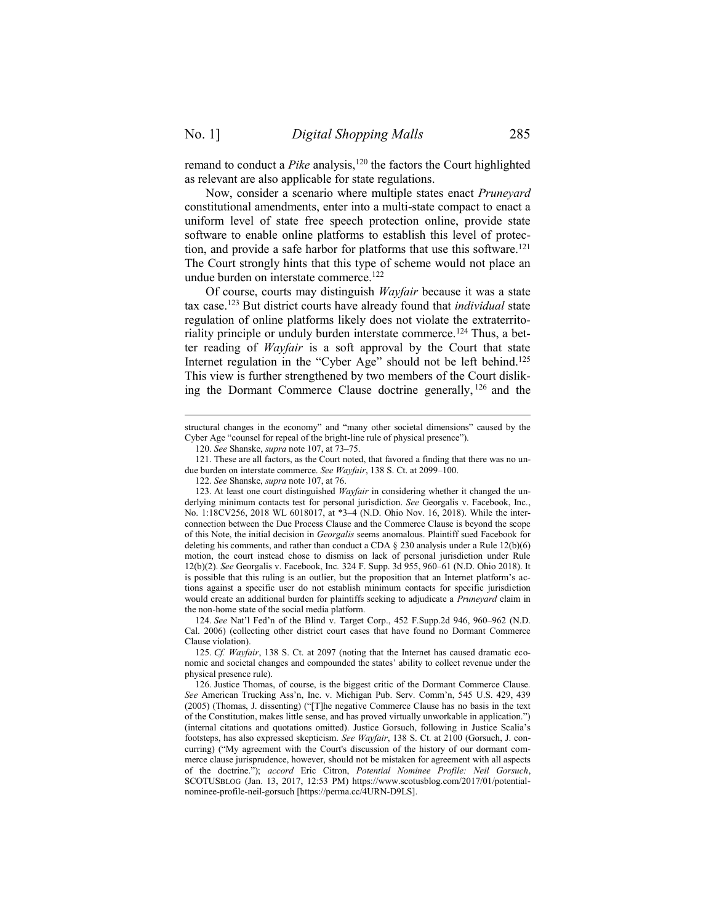remand to conduct a *Pike* analysis, <sup>120</sup> the factors the Court highlighted as relevant are also applicable for state regulations.

Now, consider a scenario where multiple states enact *Pruneyard*  constitutional amendments, enter into a multi-state compact to enact a uniform level of state free speech protection online, provide state software to enable online platforms to establish this level of protection, and provide a safe harbor for platforms that use this software.<sup>121</sup> The Court strongly hints that this type of scheme would not place an undue burden on interstate commerce.<sup>122</sup>

Of course, courts may distinguish *Wayfair* because it was a state tax case.<sup>123</sup> But district courts have already found that *individual* state regulation of online platforms likely does not violate the extraterritoriality principle or unduly burden interstate commerce.<sup>124</sup> Thus, a better reading of *Wayfair* is a soft approval by the Court that state Internet regulation in the "Cyber Age" should not be left behind.<sup>125</sup> This view is further strengthened by two members of the Court disliking the Dormant Commerce Clause doctrine generally, <sup>126</sup> and the

structural changes in the economy" and "many other societal dimensions" caused by the Cyber Age "counsel for repeal of the bright-line rule of physical presence").

<sup>120.</sup> *See* Shanske, *supra* not[e 107,](#page-14-1) at 73–75.

<sup>121.</sup> These are all factors, as the Court noted, that favored a finding that there was no undue burden on interstate commerce. *See Wayfair*, 138 S. Ct. at 2099–100.

<sup>122.</sup> *See* Shanske, *supra* not[e 107,](#page-14-1) at 76.

<sup>123.</sup> At least one court distinguished *Wayfair* in considering whether it changed the underlying minimum contacts test for personal jurisdiction. *See* Georgalis v. Facebook, Inc*.*, No. 1:18CV256, 2018 WL 6018017, at \*3–4 (N.D. Ohio Nov. 16, 2018). While the interconnection between the Due Process Clause and the Commerce Clause is beyond the scope of this Note, the initial decision in *Georgalis* seems anomalous. Plaintiff sued Facebook for deleting his comments, and rather than conduct a CDA § 230 analysis under a Rule 12(b)(6) motion, the court instead chose to dismiss on lack of personal jurisdiction under Rule 12(b)(2). *See* Georgalis v. Facebook, Inc*.* 324 F. Supp. 3d 955, 960–61 (N.D. Ohio 2018). It is possible that this ruling is an outlier, but the proposition that an Internet platform's actions against a specific user do not establish minimum contacts for specific jurisdiction would create an additional burden for plaintiffs seeking to adjudicate a *Pruneyard* claim in the non-home state of the social media platform.

<sup>124.</sup> *See* Nat'l Fed'n of the Blind v. Target Corp., 452 F.Supp.2d 946, 960–962 (N.D. Cal. 2006) (collecting other district court cases that have found no Dormant Commerce Clause violation).

<sup>125.</sup> *Cf. Wayfair*, 138 S. Ct. at 2097 (noting that the Internet has caused dramatic economic and societal changes and compounded the states' ability to collect revenue under the physical presence rule).

<sup>126.</sup> Justice Thomas, of course, is the biggest critic of the Dormant Commerce Clause. *See* American Trucking Ass'n, Inc. v. Michigan Pub. Serv. Comm'n, 545 U.S. 429, 439 (2005) (Thomas, J. dissenting) ("[T]he negative Commerce Clause has no basis in the text of the Constitution, makes little sense, and has proved virtually unworkable in application.") (internal citations and quotations omitted). Justice Gorsuch, following in Justice Scalia's footsteps, has also expressed skepticism. *See Wayfair*, 138 S. Ct. at 2100 (Gorsuch, J. concurring) ("My agreement with the Court's discussion of the history of our dormant commerce clause jurisprudence, however, should not be mistaken for agreement with all aspects of the doctrine."); *accord* Eric Citron, *Potential Nominee Profile: Neil Gorsuch*, SCOTUSBLOG (Jan. 13, 2017, 12:53 PM) https://www.scotusblog.com/2017/01/potentialnominee-profile-neil-gorsuch [https://perma.cc/4URN-D9LS].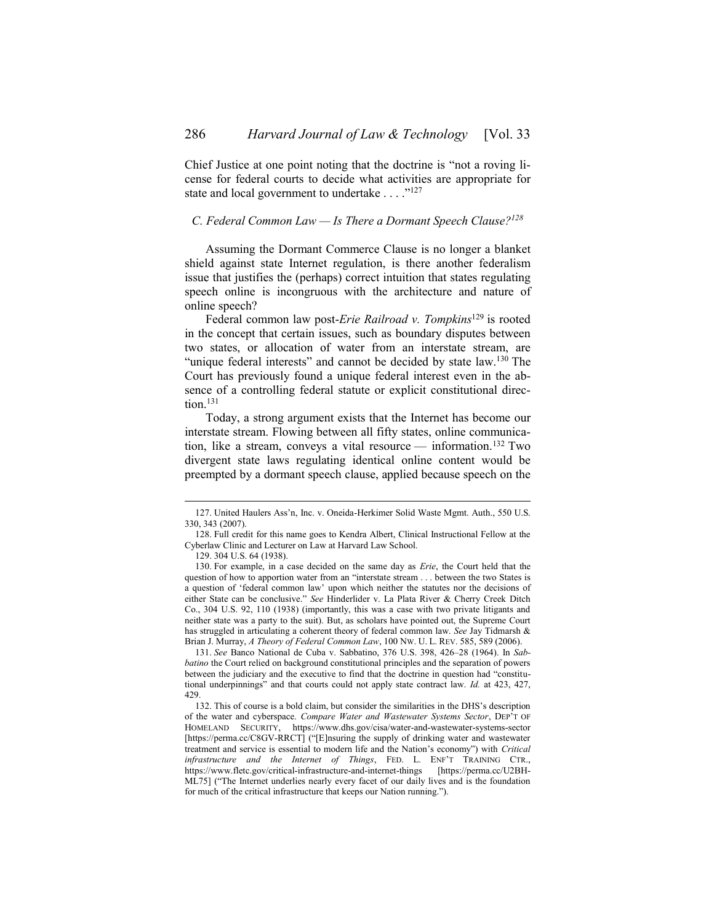Chief Justice at one point noting that the doctrine is "not a roving license for federal courts to decide what activities are appropriate for state and local government to undertake . . . ."<sup>127</sup>

## <span id="page-17-0"></span>*C. Federal Common Law — Is There a Dormant Speech Clause? 128*

Assuming the Dormant Commerce Clause is no longer a blanket shield against state Internet regulation, is there another federalism issue that justifies the (perhaps) correct intuition that states regulating speech online is incongruous with the architecture and nature of online speech?

<span id="page-17-1"></span>Federal common law post-*Erie Railroad v. Tompkins*<sup>129</sup> is rooted in the concept that certain issues, such as boundary disputes between two states, or allocation of water from an interstate stream, are "unique federal interests" and cannot be decided by state law.<sup>130</sup> The Court has previously found a unique federal interest even in the absence of a controlling federal statute or explicit constitutional direction.<sup>131</sup>

Today, a strong argument exists that the Internet has become our interstate stream. Flowing between all fifty states, online communication, like a stream, conveys a vital resource — information.<sup>132</sup> Two divergent state laws regulating identical online content would be preempted by a dormant speech clause, applied because speech on the

129. 304 U.S. 64 (1938).

 $\overline{a}$ 

131. *See* Banco National de Cuba v. Sabbatino, 376 U.S. 398, 426–28 (1964). In *Sabbatino* the Court relied on background constitutional principles and the separation of powers between the judiciary and the executive to find that the doctrine in question had "constitutional underpinnings" and that courts could not apply state contract law. *Id.* at 423, 427, 429.

132. This of course is a bold claim, but consider the similarities in the DHS's description of the water and cyberspace. *Compare Water and Wastewater Systems Sector*, DEP'T OF HOMELAND SECURITY, https://www.dhs.gov/cisa/water-and-wastewater-systems-sector [https://perma.cc/C8GV-RRCT] ("[E]nsuring the supply of drinking water and wastewater treatment and service is essential to modern life and the Nation's economy") with *Critical infrastructure and the Internet of Things*, FED. L. ENF'T TRAINING CTR., https://www.fletc.gov/critical-infrastructure-and-internet-things [https://perma.cc/U2BH-ML75] ("The Internet underlies nearly every facet of our daily lives and is the foundation for much of the critical infrastructure that keeps our Nation running.").

<sup>127.</sup> United Haulers Ass'n, Inc. v. Oneida-Herkimer Solid Waste Mgmt. Auth., 550 U.S. 330, 343 (2007).

<sup>128.</sup> Full credit for this name goes to Kendra Albert, Clinical Instructional Fellow at the Cyberlaw Clinic and Lecturer on Law at Harvard Law School.

<sup>130.</sup> For example, in a case decided on the same day as *Erie*, the Court held that the question of how to apportion water from an "interstate stream . . . between the two States is a question of 'federal common law' upon which neither the statutes nor the decisions of either State can be conclusive." *See* Hinderlider v. La Plata River & Cherry Creek Ditch Co., 304 U.S. 92, 110 (1938) (importantly, this was a case with two private litigants and neither state was a party to the suit). But, as scholars have pointed out, the Supreme Court has struggled in articulating a coherent theory of federal common law. *See* Jay Tidmarsh & Brian J. Murray, *A Theory of Federal Common Law*, 100 NW. U. L. REV. 585, 589 (2006).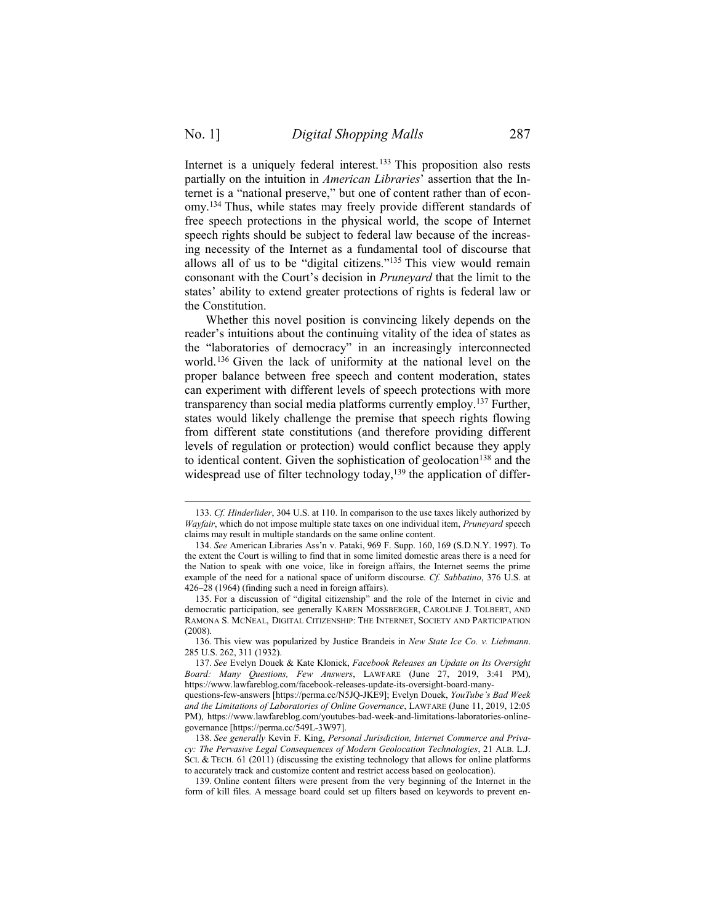Internet is a uniquely federal interest.<sup>133</sup> This proposition also rests partially on the intuition in *American Libraries*' assertion that the Internet is a "national preserve," but one of content rather than of economy.<sup>134</sup> Thus, while states may freely provide different standards of free speech protections in the physical world, the scope of Internet speech rights should be subject to federal law because of the increasing necessity of the Internet as a fundamental tool of discourse that allows all of us to be "digital citizens." <sup>135</sup> This view would remain consonant with the Court's decision in *Pruneyard* that the limit to the states' ability to extend greater protections of rights is federal law or the Constitution.

Whether this novel position is convincing likely depends on the reader's intuitions about the continuing vitality of the idea of states as the "laboratories of democracy" in an increasingly interconnected world.<sup>136</sup> Given the lack of uniformity at the national level on the proper balance between free speech and content moderation, states can experiment with different levels of speech protections with more transparency than social media platforms currently employ. <sup>137</sup> Further, states would likely challenge the premise that speech rights flowing from different state constitutions (and therefore providing different levels of regulation or protection) would conflict because they apply to identical content. Given the sophistication of geolocation<sup>138</sup> and the widespread use of filter technology today,<sup>139</sup> the application of differ-

<sup>133.</sup> *Cf. Hinderlider*, 304 U.S. at 110. In comparison to the use taxes likely authorized by *Wayfair*, which do not impose multiple state taxes on one individual item, *Pruneyard* speech claims may result in multiple standards on the same online content.

<sup>134.</sup> *See* American Libraries Ass'n v. Pataki, 969 F. Supp. 160, 169 (S.D.N.Y. 1997). To the extent the Court is willing to find that in some limited domestic areas there is a need for the Nation to speak with one voice, like in foreign affairs, the Internet seems the prime example of the need for a national space of uniform discourse. *Cf. Sabbatino*, 376 U.S. at 426–28 (1964) (finding such a need in foreign affairs).

<sup>135.</sup> For a discussion of "digital citizenship" and the role of the Internet in civic and democratic participation, see generally KAREN MOSSBERGER, CAROLINE J. TOLBERT, AND RAMONA S. MCNEAL, DIGITAL CITIZENSHIP: THE INTERNET, SOCIETY AND PARTICIPATION (2008).

<sup>136.</sup> This view was popularized by Justice Brandeis in *New State Ice Co. v. Liebmann*. 285 U.S. 262, 311 (1932).

<sup>137.</sup> *See* Evelyn Douek & Kate Klonick, *Facebook Releases an Update on Its Oversight Board: Many Questions, Few Answers*, LAWFARE (June 27, 2019, 3:41 PM), https://www.lawfareblog.com/facebook-releases-update-its-oversight-board-many-

questions-few-answers [https://perma.cc/N5JQ-JKE9]; Evelyn Douek, *YouTube's Bad Week and the Limitations of Laboratories of Online Governance*, LAWFARE (June 11, 2019, 12:05 PM), https://www.lawfareblog.com/youtubes-bad-week-and-limitations-laboratories-onlinegovernance [https://perma.cc/549L-3W97].

<sup>138.</sup> *See generally* Kevin F. King, *Personal Jurisdiction, Internet Commerce and Privacy: The Pervasive Legal Consequences of Modern Geolocation Technologies*, 21 ALB. L.J. SCI. & TECH. 61 (2011) (discussing the existing technology that allows for online platforms to accurately track and customize content and restrict access based on geolocation).

<sup>139.</sup> Online content filters were present from the very beginning of the Internet in the form of kill files. A message board could set up filters based on keywords to prevent en-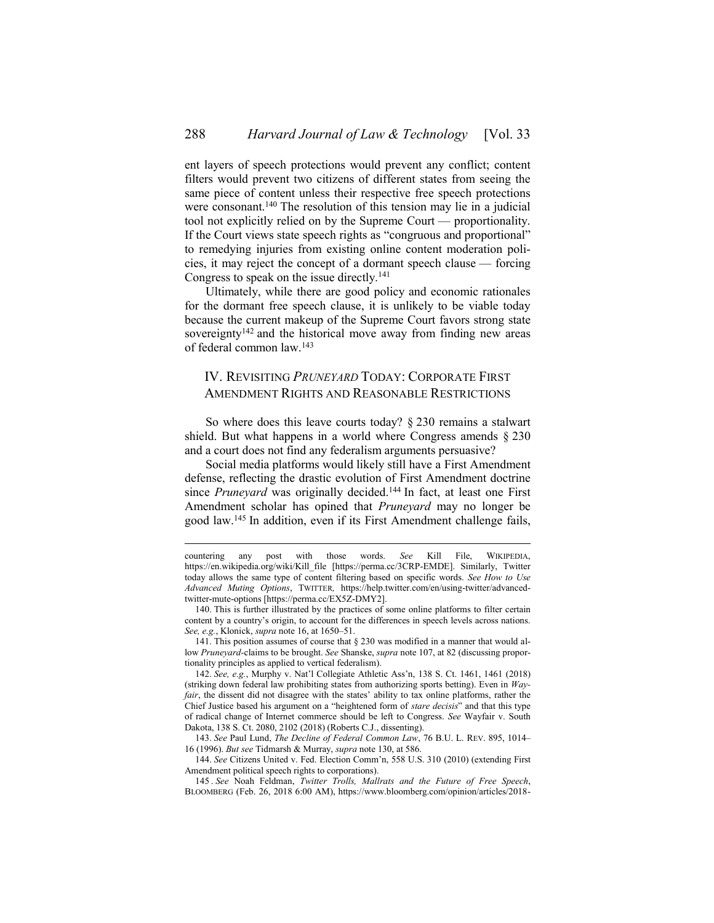ent layers of speech protections would prevent any conflict; content filters would prevent two citizens of different states from seeing the same piece of content unless their respective free speech protections were consonant.<sup>140</sup> The resolution of this tension may lie in a judicial tool not explicitly relied on by the Supreme Court — proportionality. If the Court views state speech rights as "congruous and proportional" to remedying injuries from existing online content moderation policies, it may reject the concept of a dormant speech clause — forcing Congress to speak on the issue directly. 141

Ultimately, while there are good policy and economic rationales for the dormant free speech clause, it is unlikely to be viable today because the current makeup of the Supreme Court favors strong state sovereignty<sup>142</sup> and the historical move away from finding new areas of federal common law. 143

# <span id="page-19-0"></span>IV. REVISITING *PRUNEYARD* TODAY: CORPORATE FIRST AMENDMENT RIGHTS AND REASONABLE RESTRICTIONS

So where does this leave courts today? § 230 remains a stalwart shield. But what happens in a world where Congress amends § 230 and a court does not find any federalism arguments persuasive?

Social media platforms would likely still have a First Amendment defense, reflecting the drastic evolution of First Amendment doctrine since Pruneyard was originally decided.<sup>144</sup> In fact, at least one First Amendment scholar has opined that *Pruneyard* may no longer be good law.<sup>145</sup> In addition, even if its First Amendment challenge fails,

 $\overline{a}$ 

141. This position assumes of course that § 230 was modified in a manner that would allow *Pruneyard-*claims to be brought. *See* Shanske, *supra* not[e 107,](#page-14-1) at 82 (discussing proportionality principles as applied to vertical federalism).

143. *See* Paul Lund, *The Decline of Federal Common Law*, 76 B.U. L. REV. 895, 1014– 16 (1996). *But see* Tidmarsh & Murray, *supra* not[e 130,](#page-17-1) at 586.

144. *See* Citizens United v. Fed. Election Comm'n, 558 U.S. 310 (2010) (extending First Amendment political speech rights to corporations).

countering any post with those words. *See* Kill File, WIKIPEDIA, https://en.wikipedia.org/wiki/Kill\_file [https://perma.cc/3CRP-EMDE]. Similarly, Twitter today allows the same type of content filtering based on specific words. *See How to Use Advanced Muting Options*, TWITTER*,* https://help.twitter.com/en/using-twitter/advancedtwitter-mute-options [https://perma.cc/EX5Z-DMY2].

<sup>140.</sup> This is further illustrated by the practices of some online platforms to filter certain content by a country's origin, to account for the differences in speech levels across nations. *See, e.g.*, Klonick, *supra* note [16,](#page-2-2) at 1650–51.

<sup>142.</sup> *See, e.g.*, Murphy v. Nat'l Collegiate Athletic Ass'n, 138 S. Ct. 1461, 1461 (2018) (striking down federal law prohibiting states from authorizing sports betting). Even in *Wayfair*, the dissent did not disagree with the states' ability to tax online platforms, rather the Chief Justice based his argument on a "heightened form of *stare decisis*" and that this type of radical change of Internet commerce should be left to Congress. *See* Wayfair v. South Dakota, 138 S. Ct. 2080, 2102 (2018) (Roberts C.J., dissenting).

<sup>145</sup> . *See* Noah Feldman, *Twitter Trolls, Mallrats and the Future of Free Speech*, BLOOMBERG (Feb. 26, 2018 6:00 AM), https://www.bloomberg.com/opinion/articles/2018-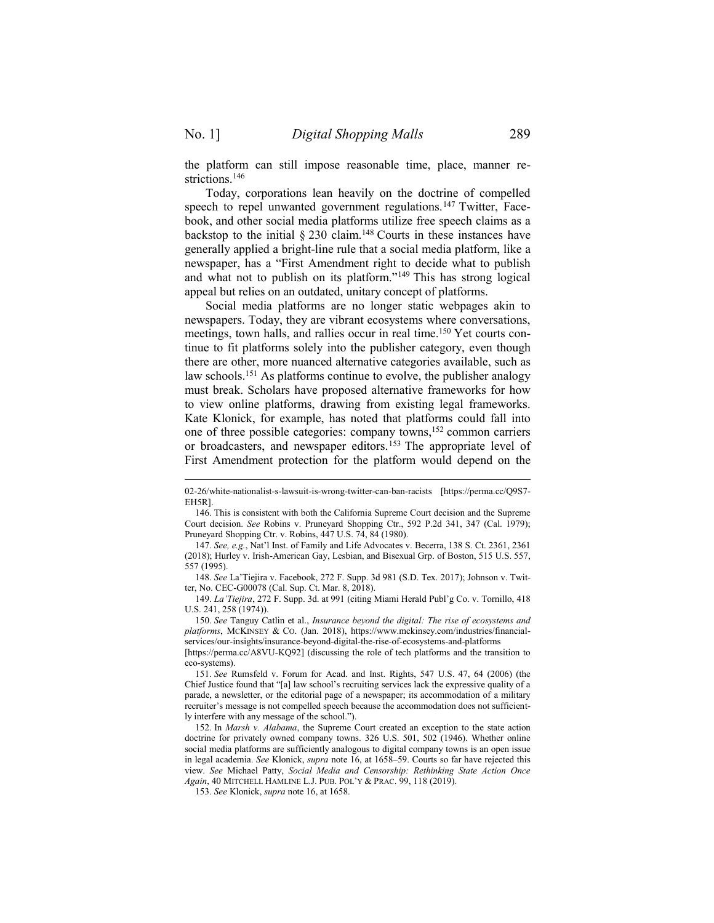the platform can still impose reasonable time, place, manner restrictions.<sup>146</sup>

Today, corporations lean heavily on the doctrine of compelled speech to repel unwanted government regulations.<sup>147</sup> Twitter, Facebook, and other social media platforms utilize free speech claims as a backstop to the initial  $\S 230$  claim.<sup>148</sup> Courts in these instances have generally applied a bright-line rule that a social media platform, like a newspaper, has a "First Amendment right to decide what to publish and what not to publish on its platform." <sup>149</sup> This has strong logical appeal but relies on an outdated, unitary concept of platforms.

Social media platforms are no longer static webpages akin to newspapers. Today, they are vibrant ecosystems where conversations, meetings, town halls, and rallies occur in real time.<sup>150</sup> Yet courts continue to fit platforms solely into the publisher category, even though there are other, more nuanced alternative categories available, such as law schools.<sup>151</sup> As platforms continue to evolve, the publisher analogy must break. Scholars have proposed alternative frameworks for how to view online platforms, drawing from existing legal frameworks. Kate Klonick, for example, has noted that platforms could fall into one of three possible categories: company towns, <sup>152</sup> common carriers or broadcasters, and newspaper editors.<sup>153</sup> The appropriate level of First Amendment protection for the platform would depend on the

148. *See* La'Tiejira v. Facebook, 272 F. Supp. 3d 981 (S.D. Tex. 2017); Johnson v. Twitter, No. CEC-G00078 (Cal. Sup. Ct. Mar. 8, 2018).

149. *La'Tiejira*, 272 F. Supp. 3d. at 991 (citing Miami Herald Publ'g Co. v. Tornillo, 418 U.S. 241, 258 (1974)).

150. *See* Tanguy Catlin et al., *Insurance beyond the digital: The rise of ecosystems and platforms*, MCKINSEY & CO. (Jan. 2018), https://www.mckinsey.com/industries/financialservices/our-insights/insurance-beyond-digital-the-rise-of-ecosystems-and-platforms

[https://perma.cc/A8VU-KQ92] (discussing the role of tech platforms and the transition to eco-systems).

152. In *Marsh v. Alabama*, the Supreme Court created an exception to the state action doctrine for privately owned company towns. 326 U.S. 501, 502 (1946). Whether online social media platforms are sufficiently analogous to digital company towns is an open issue in legal academia. *See* Klonick, *supra* not[e 16,](#page-2-2) at 1658–59. Courts so far have rejected this view. *See* Michael Patty, *Social Media and Censorship: Rethinking State Action Once Again*, 40 MITCHELL HAMLINE L.J. PUB. POL'Y & PRAC. 99, 118 (2019).

153. *See* Klonick, *supra* not[e 16,](#page-2-2) at 1658.

<sup>02-26/</sup>white-nationalist-s-lawsuit-is-wrong-twitter-can-ban-racists [https://perma.cc/Q9S7- EH5R].

<sup>146.</sup> This is consistent with both the California Supreme Court decision and the Supreme Court decision. *See* Robins v. Pruneyard Shopping Ctr., 592 P.2d 341, 347 (Cal. 1979); Pruneyard Shopping Ctr. v. Robins, 447 U.S. 74, 84 (1980).

<sup>147.</sup> *See, e.g.*, Nat'l Inst. of Family and Life Advocates v. Becerra, 138 S. Ct. 2361, 2361 (2018); Hurley v. Irish-American Gay, Lesbian, and Bisexual Grp. of Boston, 515 U.S. 557, 557 (1995).

<sup>151.</sup> *See* Rumsfeld v. Forum for Acad. and Inst. Rights, 547 U.S. 47, 64 (2006) (the Chief Justice found that "[a] law school's recruiting services lack the expressive quality of a parade, a newsletter, or the editorial page of a newspaper; its accommodation of a military recruiter's message is not compelled speech because the accommodation does not sufficiently interfere with any message of the school.").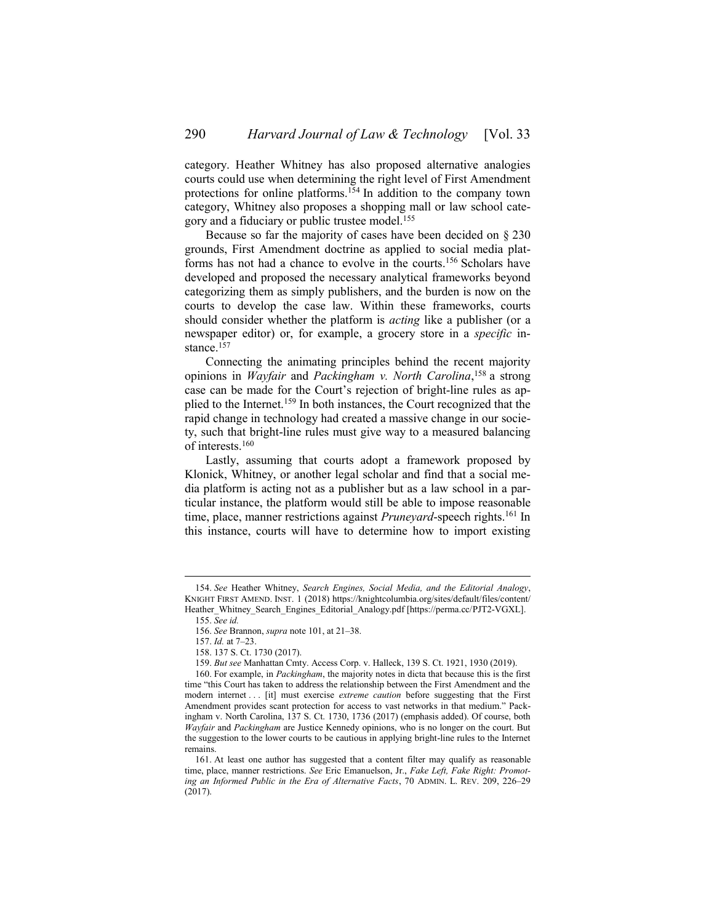category. Heather Whitney has also proposed alternative analogies courts could use when determining the right level of First Amendment protections for online platforms.<sup>154</sup> In addition to the company town category, Whitney also proposes a shopping mall or law school category and a fiduciary or public trustee model.<sup>155</sup>

Because so far the majority of cases have been decided on § 230 grounds, First Amendment doctrine as applied to social media platforms has not had a chance to evolve in the courts.<sup>156</sup> Scholars have developed and proposed the necessary analytical frameworks beyond categorizing them as simply publishers, and the burden is now on the courts to develop the case law. Within these frameworks, courts should consider whether the platform is *acting* like a publisher (or a newspaper editor) or, for example, a grocery store in a *specific* instance.<sup>157</sup>

Connecting the animating principles behind the recent majority opinions in *Wayfair* and *Packingham v. North Carolina*, <sup>158</sup> a strong case can be made for the Court's rejection of bright-line rules as applied to the Internet.<sup>159</sup> In both instances, the Court recognized that the rapid change in technology had created a massive change in our society, such that bright-line rules must give way to a measured balancing of interests.<sup>160</sup>

Lastly, assuming that courts adopt a framework proposed by Klonick, Whitney, or another legal scholar and find that a social media platform is acting not as a publisher but as a law school in a particular instance, the platform would still be able to impose reasonable time, place, manner restrictions against *Pruneyard*-speech rights.<sup>161</sup> In this instance, courts will have to determine how to import existing

<sup>154.</sup> *See* Heather Whitney, *Search Engines, Social Media, and the Editorial Analogy*, KNIGHT FIRST AMEND. INST. 1 (2018) https://knightcolumbia.org/sites/default/files/content/ Heather\_Whitney\_Search\_Engines\_Editorial\_Analogy.pdf [https://perma.cc/PJT2-VGXL].

<sup>155.</sup> *See id.*

<sup>156.</sup> *See* Brannon, *supra* not[e 101,](#page-13-1) at 21–38.

<sup>157.</sup> *Id.* at 7–23.

<sup>158.</sup> 137 S. Ct. 1730 (2017).

<sup>159.</sup> *But see* Manhattan Cmty. Access Corp. v. Halleck, 139 S. Ct. 1921, 1930 (2019).

<sup>160.</sup> For example, in *Packingham*, the majority notes in dicta that because this is the first time "this Court has taken to address the relationship between the First Amendment and the modern internet . . . [it] must exercise *extreme caution* before suggesting that the First Amendment provides scant protection for access to vast networks in that medium." Packingham v. North Carolina, 137 S. Ct. 1730, 1736 (2017) (emphasis added). Of course, both *Wayfair* and *Packingham* are Justice Kennedy opinions, who is no longer on the court. But the suggestion to the lower courts to be cautious in applying bright-line rules to the Internet remains.

<sup>161.</sup> At least one author has suggested that a content filter may qualify as reasonable time, place, manner restrictions. *See* Eric Emanuelson, Jr., *Fake Left, Fake Right: Promoting an Informed Public in the Era of Alternative Facts*, 70 ADMIN. L. REV. 209, 226–29 (2017).